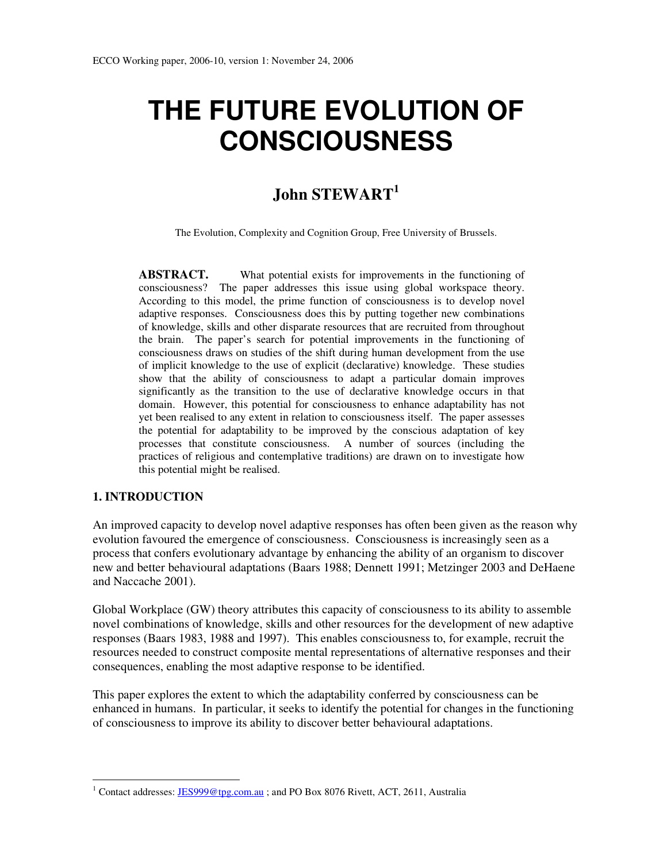# **THE FUTURE EVOLUTION OF CONSCIOUSNESS**

# **John STEWART<sup>1</sup>**

The Evolution, Complexity and Cognition Group, Free University of Brussels.

**ABSTRACT.** What potential exists for improvements in the functioning of consciousness? The paper addresses this issue using global workspace theory. According to this model, the prime function of consciousness is to develop novel adaptive responses. Consciousness does this by putting together new combinations of knowledge, skills and other disparate resources that are recruited from throughout the brain. The paper's search for potential improvements in the functioning of consciousness draws on studies of the shift during human development from the use of implicit knowledge to the use of explicit (declarative) knowledge. These studies show that the ability of consciousness to adapt a particular domain improves significantly as the transition to the use of declarative knowledge occurs in that domain. However, this potential for consciousness to enhance adaptability has not yet been realised to any extent in relation to consciousness itself. The paper assesses the potential for adaptability to be improved by the conscious adaptation of key processes that constitute consciousness. A number of sources (including the practices of religious and contemplative traditions) are drawn on to investigate how this potential might be realised.

# **1. INTRODUCTION**

 $\ddot{\phantom{a}}$ 

An improved capacity to develop novel adaptive responses has often been given as the reason why evolution favoured the emergence of consciousness. Consciousness is increasingly seen as a process that confers evolutionary advantage by enhancing the ability of an organism to discover new and better behavioural adaptations (Baars 1988; Dennett 1991; Metzinger 2003 and DeHaene and Naccache 2001).

Global Workplace (GW) theory attributes this capacity of consciousness to its ability to assemble novel combinations of knowledge, skills and other resources for the development of new adaptive responses (Baars 1983, 1988 and 1997). This enables consciousness to, for example, recruit the resources needed to construct composite mental representations of alternative responses and their consequences, enabling the most adaptive response to be identified.

This paper explores the extent to which the adaptability conferred by consciousness can be enhanced in humans. In particular, it seeks to identify the potential for changes in the functioning of consciousness to improve its ability to discover better behavioural adaptations.

<sup>&</sup>lt;sup>1</sup> Contact addresses:  $\underline{JES999@tpg.com.au}$ ; and PO Box 8076 Rivett, ACT, 2611, Australia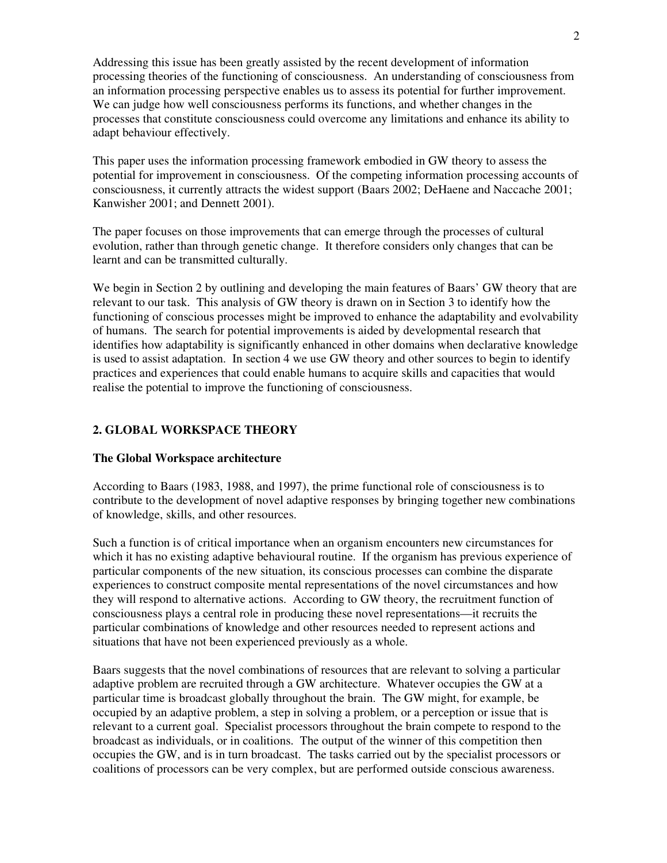Addressing this issue has been greatly assisted by the recent development of information processing theories of the functioning of consciousness. An understanding of consciousness from an information processing perspective enables us to assess its potential for further improvement. We can judge how well consciousness performs its functions, and whether changes in the processes that constitute consciousness could overcome any limitations and enhance its ability to adapt behaviour effectively.

This paper uses the information processing framework embodied in GW theory to assess the potential for improvement in consciousness. Of the competing information processing accounts of consciousness, it currently attracts the widest support (Baars 2002; DeHaene and Naccache 2001; Kanwisher 2001; and Dennett 2001).

The paper focuses on those improvements that can emerge through the processes of cultural evolution, rather than through genetic change. It therefore considers only changes that can be learnt and can be transmitted culturally.

We begin in Section 2 by outlining and developing the main features of Baars' GW theory that are relevant to our task. This analysis of GW theory is drawn on in Section 3 to identify how the functioning of conscious processes might be improved to enhance the adaptability and evolvability of humans. The search for potential improvements is aided by developmental research that identifies how adaptability is significantly enhanced in other domains when declarative knowledge is used to assist adaptation. In section 4 we use GW theory and other sources to begin to identify practices and experiences that could enable humans to acquire skills and capacities that would realise the potential to improve the functioning of consciousness.

# **2. GLOBAL WORKSPACE THEORY**

# **The Global Workspace architecture**

According to Baars (1983, 1988, and 1997), the prime functional role of consciousness is to contribute to the development of novel adaptive responses by bringing together new combinations of knowledge, skills, and other resources.

Such a function is of critical importance when an organism encounters new circumstances for which it has no existing adaptive behavioural routine. If the organism has previous experience of particular components of the new situation, its conscious processes can combine the disparate experiences to construct composite mental representations of the novel circumstances and how they will respond to alternative actions. According to GW theory, the recruitment function of consciousness plays a central role in producing these novel representations—it recruits the particular combinations of knowledge and other resources needed to represent actions and situations that have not been experienced previously as a whole.

Baars suggests that the novel combinations of resources that are relevant to solving a particular adaptive problem are recruited through a GW architecture. Whatever occupies the GW at a particular time is broadcast globally throughout the brain. The GW might, for example, be occupied by an adaptive problem, a step in solving a problem, or a perception or issue that is relevant to a current goal. Specialist processors throughout the brain compete to respond to the broadcast as individuals, or in coalitions. The output of the winner of this competition then occupies the GW, and is in turn broadcast. The tasks carried out by the specialist processors or coalitions of processors can be very complex, but are performed outside conscious awareness.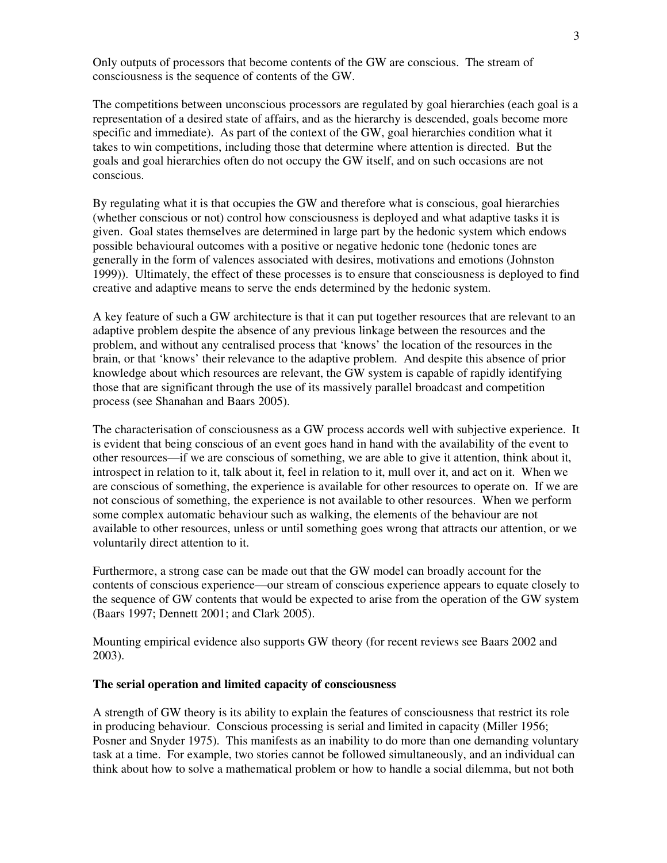Only outputs of processors that become contents of the GW are conscious. The stream of consciousness is the sequence of contents of the GW.

The competitions between unconscious processors are regulated by goal hierarchies (each goal is a representation of a desired state of affairs, and as the hierarchy is descended, goals become more specific and immediate). As part of the context of the GW, goal hierarchies condition what it takes to win competitions, including those that determine where attention is directed. But the goals and goal hierarchies often do not occupy the GW itself, and on such occasions are not conscious.

By regulating what it is that occupies the GW and therefore what is conscious, goal hierarchies (whether conscious or not) control how consciousness is deployed and what adaptive tasks it is given. Goal states themselves are determined in large part by the hedonic system which endows possible behavioural outcomes with a positive or negative hedonic tone (hedonic tones are generally in the form of valences associated with desires, motivations and emotions (Johnston 1999)). Ultimately, the effect of these processes is to ensure that consciousness is deployed to find creative and adaptive means to serve the ends determined by the hedonic system.

A key feature of such a GW architecture is that it can put together resources that are relevant to an adaptive problem despite the absence of any previous linkage between the resources and the problem, and without any centralised process that 'knows' the location of the resources in the brain, or that 'knows' their relevance to the adaptive problem. And despite this absence of prior knowledge about which resources are relevant, the GW system is capable of rapidly identifying those that are significant through the use of its massively parallel broadcast and competition process (see Shanahan and Baars 2005).

The characterisation of consciousness as a GW process accords well with subjective experience. It is evident that being conscious of an event goes hand in hand with the availability of the event to other resources—if we are conscious of something, we are able to give it attention, think about it, introspect in relation to it, talk about it, feel in relation to it, mull over it, and act on it. When we are conscious of something, the experience is available for other resources to operate on. If we are not conscious of something, the experience is not available to other resources. When we perform some complex automatic behaviour such as walking, the elements of the behaviour are not available to other resources, unless or until something goes wrong that attracts our attention, or we voluntarily direct attention to it.

Furthermore, a strong case can be made out that the GW model can broadly account for the contents of conscious experience—our stream of conscious experience appears to equate closely to the sequence of GW contents that would be expected to arise from the operation of the GW system (Baars 1997; Dennett 2001; and Clark 2005).

Mounting empirical evidence also supports GW theory (for recent reviews see Baars 2002 and 2003).

#### **The serial operation and limited capacity of consciousness**

A strength of GW theory is its ability to explain the features of consciousness that restrict its role in producing behaviour. Conscious processing is serial and limited in capacity (Miller 1956; Posner and Snyder 1975). This manifests as an inability to do more than one demanding voluntary task at a time. For example, two stories cannot be followed simultaneously, and an individual can think about how to solve a mathematical problem or how to handle a social dilemma, but not both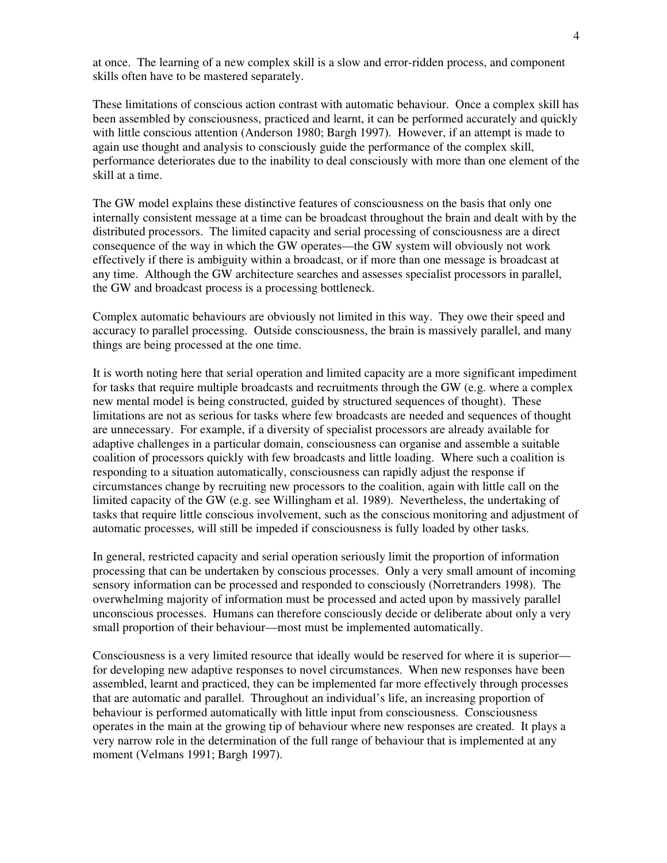at once. The learning of a new complex skill is a slow and error-ridden process, and component skills often have to be mastered separately.

These limitations of conscious action contrast with automatic behaviour. Once a complex skill has been assembled by consciousness, practiced and learnt, it can be performed accurately and quickly with little conscious attention (Anderson 1980; Bargh 1997). However, if an attempt is made to again use thought and analysis to consciously guide the performance of the complex skill, performance deteriorates due to the inability to deal consciously with more than one element of the skill at a time.

The GW model explains these distinctive features of consciousness on the basis that only one internally consistent message at a time can be broadcast throughout the brain and dealt with by the distributed processors. The limited capacity and serial processing of consciousness are a direct consequence of the way in which the GW operates—the GW system will obviously not work effectively if there is ambiguity within a broadcast, or if more than one message is broadcast at any time. Although the GW architecture searches and assesses specialist processors in parallel, the GW and broadcast process is a processing bottleneck.

Complex automatic behaviours are obviously not limited in this way. They owe their speed and accuracy to parallel processing. Outside consciousness, the brain is massively parallel, and many things are being processed at the one time.

It is worth noting here that serial operation and limited capacity are a more significant impediment for tasks that require multiple broadcasts and recruitments through the GW (e.g. where a complex new mental model is being constructed, guided by structured sequences of thought). These limitations are not as serious for tasks where few broadcasts are needed and sequences of thought are unnecessary. For example, if a diversity of specialist processors are already available for adaptive challenges in a particular domain, consciousness can organise and assemble a suitable coalition of processors quickly with few broadcasts and little loading. Where such a coalition is responding to a situation automatically, consciousness can rapidly adjust the response if circumstances change by recruiting new processors to the coalition, again with little call on the limited capacity of the GW (e.g. see Willingham et al. 1989). Nevertheless, the undertaking of tasks that require little conscious involvement, such as the conscious monitoring and adjustment of automatic processes, will still be impeded if consciousness is fully loaded by other tasks.

In general, restricted capacity and serial operation seriously limit the proportion of information processing that can be undertaken by conscious processes. Only a very small amount of incoming sensory information can be processed and responded to consciously (Norretranders 1998). The overwhelming majority of information must be processed and acted upon by massively parallel unconscious processes. Humans can therefore consciously decide or deliberate about only a very small proportion of their behaviour—most must be implemented automatically.

Consciousness is a very limited resource that ideally would be reserved for where it is superior for developing new adaptive responses to novel circumstances. When new responses have been assembled, learnt and practiced, they can be implemented far more effectively through processes that are automatic and parallel. Throughout an individual's life, an increasing proportion of behaviour is performed automatically with little input from consciousness. Consciousness operates in the main at the growing tip of behaviour where new responses are created. It plays a very narrow role in the determination of the full range of behaviour that is implemented at any moment (Velmans 1991; Bargh 1997).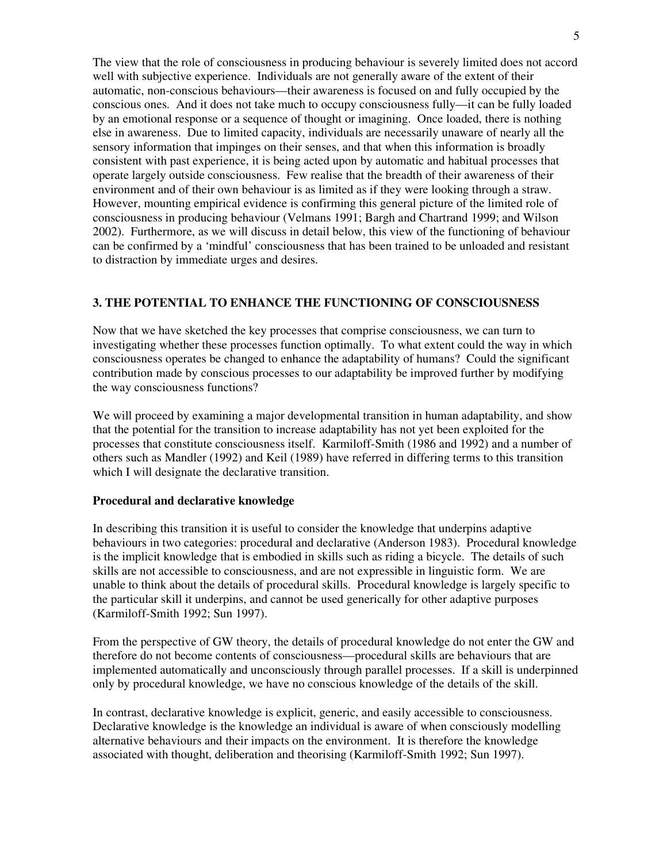The view that the role of consciousness in producing behaviour is severely limited does not accord well with subjective experience. Individuals are not generally aware of the extent of their automatic, non-conscious behaviours—their awareness is focused on and fully occupied by the conscious ones. And it does not take much to occupy consciousness fully—it can be fully loaded by an emotional response or a sequence of thought or imagining. Once loaded, there is nothing else in awareness. Due to limited capacity, individuals are necessarily unaware of nearly all the sensory information that impinges on their senses, and that when this information is broadly consistent with past experience, it is being acted upon by automatic and habitual processes that operate largely outside consciousness. Few realise that the breadth of their awareness of their environment and of their own behaviour is as limited as if they were looking through a straw. However, mounting empirical evidence is confirming this general picture of the limited role of consciousness in producing behaviour (Velmans 1991; Bargh and Chartrand 1999; and Wilson 2002). Furthermore, as we will discuss in detail below, this view of the functioning of behaviour can be confirmed by a 'mindful' consciousness that has been trained to be unloaded and resistant to distraction by immediate urges and desires.

# **3. THE POTENTIAL TO ENHANCE THE FUNCTIONING OF CONSCIOUSNESS**

Now that we have sketched the key processes that comprise consciousness, we can turn to investigating whether these processes function optimally. To what extent could the way in which consciousness operates be changed to enhance the adaptability of humans? Could the significant contribution made by conscious processes to our adaptability be improved further by modifying the way consciousness functions?

We will proceed by examining a major developmental transition in human adaptability, and show that the potential for the transition to increase adaptability has not yet been exploited for the processes that constitute consciousness itself. Karmiloff-Smith (1986 and 1992) and a number of others such as Mandler (1992) and Keil (1989) have referred in differing terms to this transition which I will designate the declarative transition.

#### **Procedural and declarative knowledge**

In describing this transition it is useful to consider the knowledge that underpins adaptive behaviours in two categories: procedural and declarative (Anderson 1983). Procedural knowledge is the implicit knowledge that is embodied in skills such as riding a bicycle. The details of such skills are not accessible to consciousness, and are not expressible in linguistic form. We are unable to think about the details of procedural skills. Procedural knowledge is largely specific to the particular skill it underpins, and cannot be used generically for other adaptive purposes (Karmiloff-Smith 1992; Sun 1997).

From the perspective of GW theory, the details of procedural knowledge do not enter the GW and therefore do not become contents of consciousness—procedural skills are behaviours that are implemented automatically and unconsciously through parallel processes. If a skill is underpinned only by procedural knowledge, we have no conscious knowledge of the details of the skill.

In contrast, declarative knowledge is explicit, generic, and easily accessible to consciousness. Declarative knowledge is the knowledge an individual is aware of when consciously modelling alternative behaviours and their impacts on the environment. It is therefore the knowledge associated with thought, deliberation and theorising (Karmiloff-Smith 1992; Sun 1997).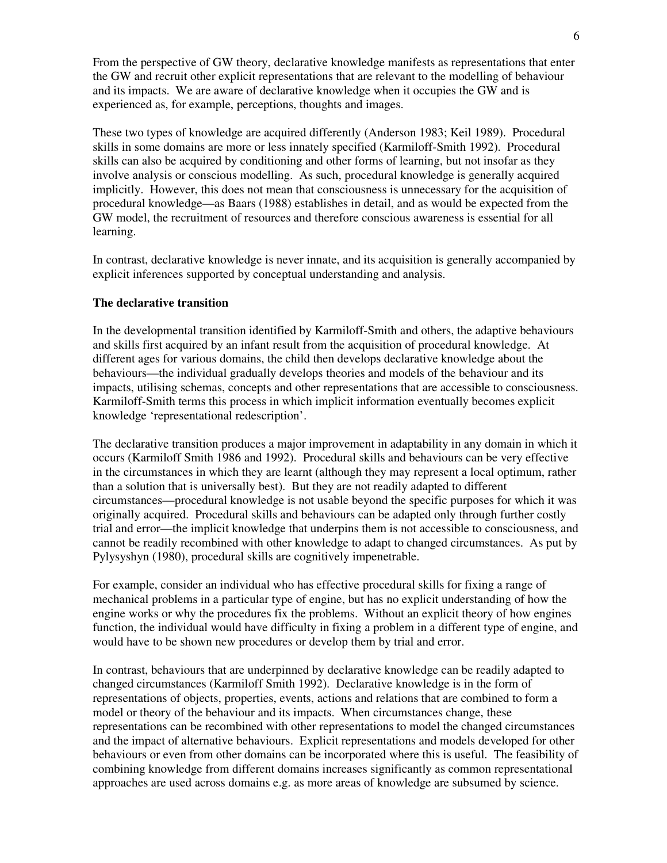From the perspective of GW theory, declarative knowledge manifests as representations that enter the GW and recruit other explicit representations that are relevant to the modelling of behaviour and its impacts. We are aware of declarative knowledge when it occupies the GW and is experienced as, for example, perceptions, thoughts and images.

These two types of knowledge are acquired differently (Anderson 1983; Keil 1989). Procedural skills in some domains are more or less innately specified (Karmiloff-Smith 1992). Procedural skills can also be acquired by conditioning and other forms of learning, but not insofar as they involve analysis or conscious modelling. As such, procedural knowledge is generally acquired implicitly. However, this does not mean that consciousness is unnecessary for the acquisition of procedural knowledge—as Baars (1988) establishes in detail, and as would be expected from the GW model, the recruitment of resources and therefore conscious awareness is essential for all learning.

In contrast, declarative knowledge is never innate, and its acquisition is generally accompanied by explicit inferences supported by conceptual understanding and analysis.

#### **The declarative transition**

In the developmental transition identified by Karmiloff-Smith and others, the adaptive behaviours and skills first acquired by an infant result from the acquisition of procedural knowledge. At different ages for various domains, the child then develops declarative knowledge about the behaviours—the individual gradually develops theories and models of the behaviour and its impacts, utilising schemas, concepts and other representations that are accessible to consciousness. Karmiloff-Smith terms this process in which implicit information eventually becomes explicit knowledge 'representational redescription'.

The declarative transition produces a major improvement in adaptability in any domain in which it occurs (Karmiloff Smith 1986 and 1992). Procedural skills and behaviours can be very effective in the circumstances in which they are learnt (although they may represent a local optimum, rather than a solution that is universally best). But they are not readily adapted to different circumstances—procedural knowledge is not usable beyond the specific purposes for which it was originally acquired. Procedural skills and behaviours can be adapted only through further costly trial and error—the implicit knowledge that underpins them is not accessible to consciousness, and cannot be readily recombined with other knowledge to adapt to changed circumstances. As put by Pylysyshyn (1980), procedural skills are cognitively impenetrable.

For example, consider an individual who has effective procedural skills for fixing a range of mechanical problems in a particular type of engine, but has no explicit understanding of how the engine works or why the procedures fix the problems. Without an explicit theory of how engines function, the individual would have difficulty in fixing a problem in a different type of engine, and would have to be shown new procedures or develop them by trial and error.

In contrast, behaviours that are underpinned by declarative knowledge can be readily adapted to changed circumstances (Karmiloff Smith 1992). Declarative knowledge is in the form of representations of objects, properties, events, actions and relations that are combined to form a model or theory of the behaviour and its impacts. When circumstances change, these representations can be recombined with other representations to model the changed circumstances and the impact of alternative behaviours. Explicit representations and models developed for other behaviours or even from other domains can be incorporated where this is useful. The feasibility of combining knowledge from different domains increases significantly as common representational approaches are used across domains e.g. as more areas of knowledge are subsumed by science.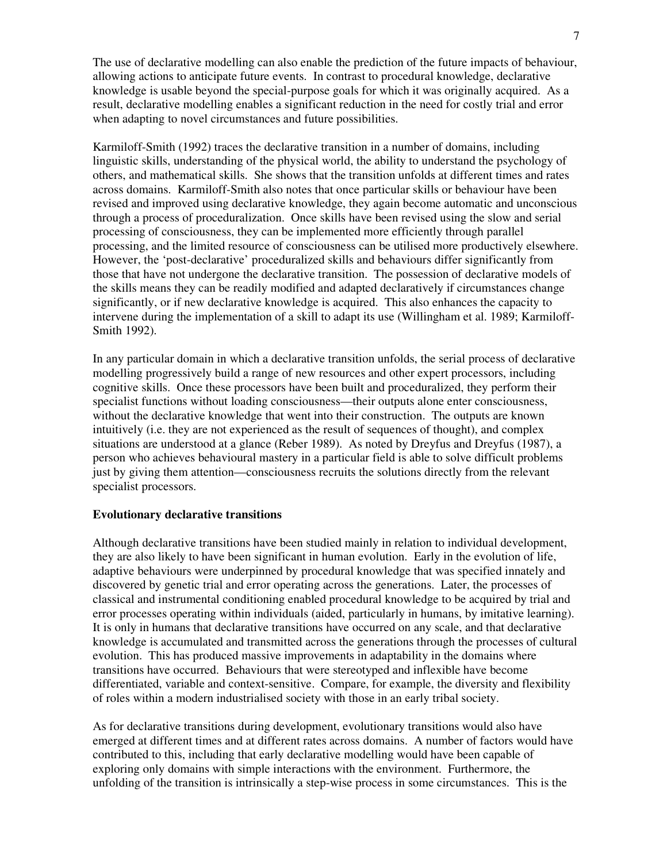The use of declarative modelling can also enable the prediction of the future impacts of behaviour, allowing actions to anticipate future events. In contrast to procedural knowledge, declarative knowledge is usable beyond the special-purpose goals for which it was originally acquired. As a result, declarative modelling enables a significant reduction in the need for costly trial and error when adapting to novel circumstances and future possibilities.

Karmiloff-Smith (1992) traces the declarative transition in a number of domains, including linguistic skills, understanding of the physical world, the ability to understand the psychology of others, and mathematical skills. She shows that the transition unfolds at different times and rates across domains. Karmiloff-Smith also notes that once particular skills or behaviour have been revised and improved using declarative knowledge, they again become automatic and unconscious through a process of proceduralization. Once skills have been revised using the slow and serial processing of consciousness, they can be implemented more efficiently through parallel processing, and the limited resource of consciousness can be utilised more productively elsewhere. However, the 'post-declarative' proceduralized skills and behaviours differ significantly from those that have not undergone the declarative transition. The possession of declarative models of the skills means they can be readily modified and adapted declaratively if circumstances change significantly, or if new declarative knowledge is acquired. This also enhances the capacity to intervene during the implementation of a skill to adapt its use (Willingham et al. 1989; Karmiloff-Smith 1992).

In any particular domain in which a declarative transition unfolds, the serial process of declarative modelling progressively build a range of new resources and other expert processors, including cognitive skills. Once these processors have been built and proceduralized, they perform their specialist functions without loading consciousness—their outputs alone enter consciousness, without the declarative knowledge that went into their construction. The outputs are known intuitively (i.e. they are not experienced as the result of sequences of thought), and complex situations are understood at a glance (Reber 1989). As noted by Dreyfus and Dreyfus (1987), a person who achieves behavioural mastery in a particular field is able to solve difficult problems just by giving them attention—consciousness recruits the solutions directly from the relevant specialist processors.

# **Evolutionary declarative transitions**

Although declarative transitions have been studied mainly in relation to individual development, they are also likely to have been significant in human evolution. Early in the evolution of life, adaptive behaviours were underpinned by procedural knowledge that was specified innately and discovered by genetic trial and error operating across the generations. Later, the processes of classical and instrumental conditioning enabled procedural knowledge to be acquired by trial and error processes operating within individuals (aided, particularly in humans, by imitative learning). It is only in humans that declarative transitions have occurred on any scale, and that declarative knowledge is accumulated and transmitted across the generations through the processes of cultural evolution. This has produced massive improvements in adaptability in the domains where transitions have occurred. Behaviours that were stereotyped and inflexible have become differentiated, variable and context-sensitive. Compare, for example, the diversity and flexibility of roles within a modern industrialised society with those in an early tribal society.

As for declarative transitions during development, evolutionary transitions would also have emerged at different times and at different rates across domains. A number of factors would have contributed to this, including that early declarative modelling would have been capable of exploring only domains with simple interactions with the environment. Furthermore, the unfolding of the transition is intrinsically a step-wise process in some circumstances. This is the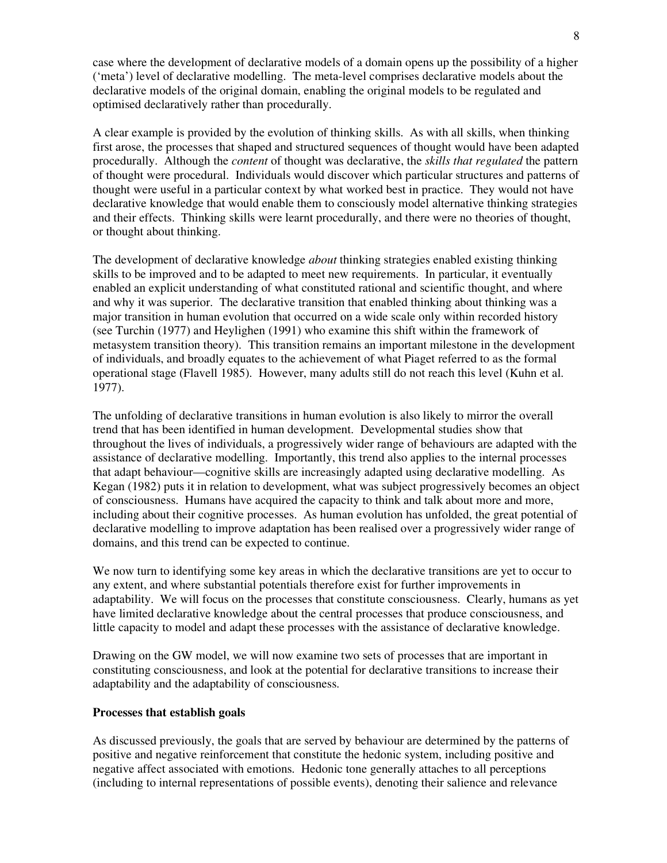case where the development of declarative models of a domain opens up the possibility of a higher ('meta') level of declarative modelling. The meta-level comprises declarative models about the declarative models of the original domain, enabling the original models to be regulated and optimised declaratively rather than procedurally.

A clear example is provided by the evolution of thinking skills. As with all skills, when thinking first arose, the processes that shaped and structured sequences of thought would have been adapted procedurally. Although the *content* of thought was declarative, the *skills that regulated* the pattern of thought were procedural. Individuals would discover which particular structures and patterns of thought were useful in a particular context by what worked best in practice. They would not have declarative knowledge that would enable them to consciously model alternative thinking strategies and their effects. Thinking skills were learnt procedurally, and there were no theories of thought, or thought about thinking.

The development of declarative knowledge *about* thinking strategies enabled existing thinking skills to be improved and to be adapted to meet new requirements. In particular, it eventually enabled an explicit understanding of what constituted rational and scientific thought, and where and why it was superior. The declarative transition that enabled thinking about thinking was a major transition in human evolution that occurred on a wide scale only within recorded history (see Turchin (1977) and Heylighen (1991) who examine this shift within the framework of metasystem transition theory). This transition remains an important milestone in the development of individuals, and broadly equates to the achievement of what Piaget referred to as the formal operational stage (Flavell 1985). However, many adults still do not reach this level (Kuhn et al. 1977).

The unfolding of declarative transitions in human evolution is also likely to mirror the overall trend that has been identified in human development. Developmental studies show that throughout the lives of individuals, a progressively wider range of behaviours are adapted with the assistance of declarative modelling. Importantly, this trend also applies to the internal processes that adapt behaviour—cognitive skills are increasingly adapted using declarative modelling. As Kegan (1982) puts it in relation to development, what was subject progressively becomes an object of consciousness. Humans have acquired the capacity to think and talk about more and more, including about their cognitive processes. As human evolution has unfolded, the great potential of declarative modelling to improve adaptation has been realised over a progressively wider range of domains, and this trend can be expected to continue.

We now turn to identifying some key areas in which the declarative transitions are yet to occur to any extent, and where substantial potentials therefore exist for further improvements in adaptability. We will focus on the processes that constitute consciousness. Clearly, humans as yet have limited declarative knowledge about the central processes that produce consciousness, and little capacity to model and adapt these processes with the assistance of declarative knowledge.

Drawing on the GW model, we will now examine two sets of processes that are important in constituting consciousness, and look at the potential for declarative transitions to increase their adaptability and the adaptability of consciousness.

#### **Processes that establish goals**

As discussed previously, the goals that are served by behaviour are determined by the patterns of positive and negative reinforcement that constitute the hedonic system, including positive and negative affect associated with emotions. Hedonic tone generally attaches to all perceptions (including to internal representations of possible events), denoting their salience and relevance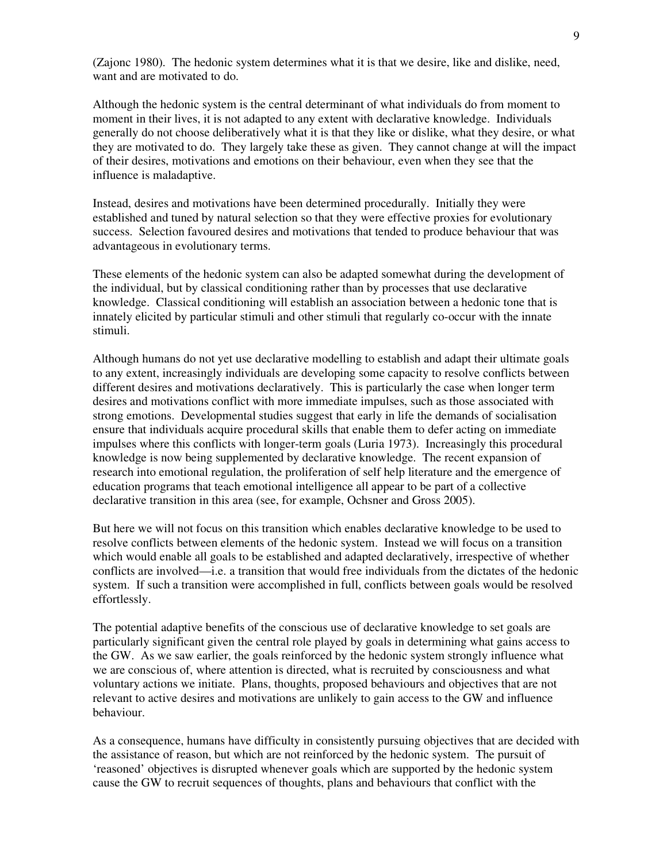(Zajonc 1980). The hedonic system determines what it is that we desire, like and dislike, need, want and are motivated to do.

Although the hedonic system is the central determinant of what individuals do from moment to moment in their lives, it is not adapted to any extent with declarative knowledge. Individuals generally do not choose deliberatively what it is that they like or dislike, what they desire, or what they are motivated to do. They largely take these as given. They cannot change at will the impact of their desires, motivations and emotions on their behaviour, even when they see that the influence is maladaptive.

Instead, desires and motivations have been determined procedurally. Initially they were established and tuned by natural selection so that they were effective proxies for evolutionary success. Selection favoured desires and motivations that tended to produce behaviour that was advantageous in evolutionary terms.

These elements of the hedonic system can also be adapted somewhat during the development of the individual, but by classical conditioning rather than by processes that use declarative knowledge. Classical conditioning will establish an association between a hedonic tone that is innately elicited by particular stimuli and other stimuli that regularly co-occur with the innate stimuli.

Although humans do not yet use declarative modelling to establish and adapt their ultimate goals to any extent, increasingly individuals are developing some capacity to resolve conflicts between different desires and motivations declaratively. This is particularly the case when longer term desires and motivations conflict with more immediate impulses, such as those associated with strong emotions. Developmental studies suggest that early in life the demands of socialisation ensure that individuals acquire procedural skills that enable them to defer acting on immediate impulses where this conflicts with longer-term goals (Luria 1973). Increasingly this procedural knowledge is now being supplemented by declarative knowledge. The recent expansion of research into emotional regulation, the proliferation of self help literature and the emergence of education programs that teach emotional intelligence all appear to be part of a collective declarative transition in this area (see, for example, Ochsner and Gross 2005).

But here we will not focus on this transition which enables declarative knowledge to be used to resolve conflicts between elements of the hedonic system. Instead we will focus on a transition which would enable all goals to be established and adapted declaratively, irrespective of whether conflicts are involved—i.e. a transition that would free individuals from the dictates of the hedonic system. If such a transition were accomplished in full, conflicts between goals would be resolved effortlessly.

The potential adaptive benefits of the conscious use of declarative knowledge to set goals are particularly significant given the central role played by goals in determining what gains access to the GW. As we saw earlier, the goals reinforced by the hedonic system strongly influence what we are conscious of, where attention is directed, what is recruited by consciousness and what voluntary actions we initiate. Plans, thoughts, proposed behaviours and objectives that are not relevant to active desires and motivations are unlikely to gain access to the GW and influence behaviour.

As a consequence, humans have difficulty in consistently pursuing objectives that are decided with the assistance of reason, but which are not reinforced by the hedonic system. The pursuit of 'reasoned' objectives is disrupted whenever goals which are supported by the hedonic system cause the GW to recruit sequences of thoughts, plans and behaviours that conflict with the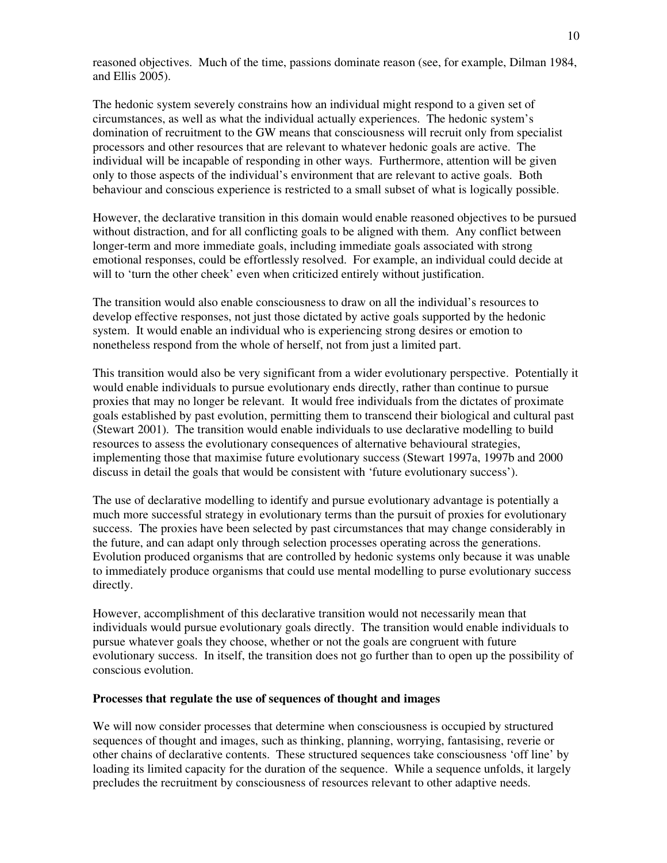reasoned objectives. Much of the time, passions dominate reason (see, for example, Dilman 1984, and Ellis 2005).

The hedonic system severely constrains how an individual might respond to a given set of circumstances, as well as what the individual actually experiences. The hedonic system's domination of recruitment to the GW means that consciousness will recruit only from specialist processors and other resources that are relevant to whatever hedonic goals are active. The individual will be incapable of responding in other ways. Furthermore, attention will be given only to those aspects of the individual's environment that are relevant to active goals. Both behaviour and conscious experience is restricted to a small subset of what is logically possible.

However, the declarative transition in this domain would enable reasoned objectives to be pursued without distraction, and for all conflicting goals to be aligned with them. Any conflict between longer-term and more immediate goals, including immediate goals associated with strong emotional responses, could be effortlessly resolved. For example, an individual could decide at will to 'turn the other cheek' even when criticized entirely without justification.

The transition would also enable consciousness to draw on all the individual's resources to develop effective responses, not just those dictated by active goals supported by the hedonic system. It would enable an individual who is experiencing strong desires or emotion to nonetheless respond from the whole of herself, not from just a limited part.

This transition would also be very significant from a wider evolutionary perspective. Potentially it would enable individuals to pursue evolutionary ends directly, rather than continue to pursue proxies that may no longer be relevant. It would free individuals from the dictates of proximate goals established by past evolution, permitting them to transcend their biological and cultural past (Stewart 2001). The transition would enable individuals to use declarative modelling to build resources to assess the evolutionary consequences of alternative behavioural strategies, implementing those that maximise future evolutionary success (Stewart 1997a, 1997b and 2000 discuss in detail the goals that would be consistent with 'future evolutionary success').

The use of declarative modelling to identify and pursue evolutionary advantage is potentially a much more successful strategy in evolutionary terms than the pursuit of proxies for evolutionary success. The proxies have been selected by past circumstances that may change considerably in the future, and can adapt only through selection processes operating across the generations. Evolution produced organisms that are controlled by hedonic systems only because it was unable to immediately produce organisms that could use mental modelling to purse evolutionary success directly.

However, accomplishment of this declarative transition would not necessarily mean that individuals would pursue evolutionary goals directly. The transition would enable individuals to pursue whatever goals they choose, whether or not the goals are congruent with future evolutionary success. In itself, the transition does not go further than to open up the possibility of conscious evolution.

#### **Processes that regulate the use of sequences of thought and images**

We will now consider processes that determine when consciousness is occupied by structured sequences of thought and images, such as thinking, planning, worrying, fantasising, reverie or other chains of declarative contents. These structured sequences take consciousness 'off line' by loading its limited capacity for the duration of the sequence. While a sequence unfolds, it largely precludes the recruitment by consciousness of resources relevant to other adaptive needs.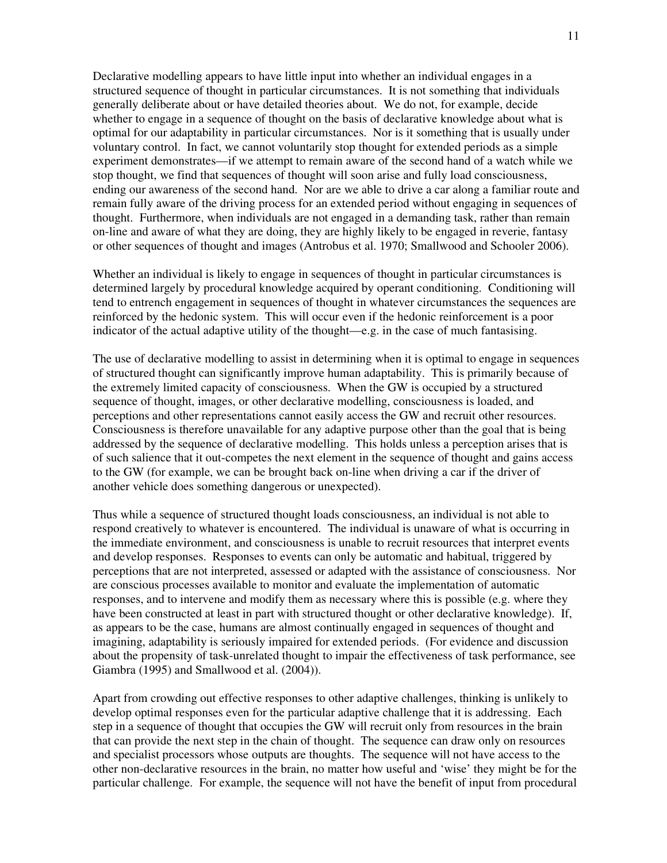Declarative modelling appears to have little input into whether an individual engages in a structured sequence of thought in particular circumstances. It is not something that individuals generally deliberate about or have detailed theories about. We do not, for example, decide whether to engage in a sequence of thought on the basis of declarative knowledge about what is optimal for our adaptability in particular circumstances. Nor is it something that is usually under voluntary control. In fact, we cannot voluntarily stop thought for extended periods as a simple experiment demonstrates—if we attempt to remain aware of the second hand of a watch while we stop thought, we find that sequences of thought will soon arise and fully load consciousness, ending our awareness of the second hand. Nor are we able to drive a car along a familiar route and remain fully aware of the driving process for an extended period without engaging in sequences of thought. Furthermore, when individuals are not engaged in a demanding task, rather than remain on-line and aware of what they are doing, they are highly likely to be engaged in reverie, fantasy or other sequences of thought and images (Antrobus et al. 1970; Smallwood and Schooler 2006).

Whether an individual is likely to engage in sequences of thought in particular circumstances is determined largely by procedural knowledge acquired by operant conditioning. Conditioning will tend to entrench engagement in sequences of thought in whatever circumstances the sequences are reinforced by the hedonic system. This will occur even if the hedonic reinforcement is a poor indicator of the actual adaptive utility of the thought—e.g. in the case of much fantasising.

The use of declarative modelling to assist in determining when it is optimal to engage in sequences of structured thought can significantly improve human adaptability. This is primarily because of the extremely limited capacity of consciousness. When the GW is occupied by a structured sequence of thought, images, or other declarative modelling, consciousness is loaded, and perceptions and other representations cannot easily access the GW and recruit other resources. Consciousness is therefore unavailable for any adaptive purpose other than the goal that is being addressed by the sequence of declarative modelling. This holds unless a perception arises that is of such salience that it out-competes the next element in the sequence of thought and gains access to the GW (for example, we can be brought back on-line when driving a car if the driver of another vehicle does something dangerous or unexpected).

Thus while a sequence of structured thought loads consciousness, an individual is not able to respond creatively to whatever is encountered. The individual is unaware of what is occurring in the immediate environment, and consciousness is unable to recruit resources that interpret events and develop responses. Responses to events can only be automatic and habitual, triggered by perceptions that are not interpreted, assessed or adapted with the assistance of consciousness. Nor are conscious processes available to monitor and evaluate the implementation of automatic responses, and to intervene and modify them as necessary where this is possible (e.g. where they have been constructed at least in part with structured thought or other declarative knowledge). If, as appears to be the case, humans are almost continually engaged in sequences of thought and imagining, adaptability is seriously impaired for extended periods. (For evidence and discussion about the propensity of task-unrelated thought to impair the effectiveness of task performance, see Giambra (1995) and Smallwood et al. (2004)).

Apart from crowding out effective responses to other adaptive challenges, thinking is unlikely to develop optimal responses even for the particular adaptive challenge that it is addressing. Each step in a sequence of thought that occupies the GW will recruit only from resources in the brain that can provide the next step in the chain of thought. The sequence can draw only on resources and specialist processors whose outputs are thoughts. The sequence will not have access to the other non-declarative resources in the brain, no matter how useful and 'wise' they might be for the particular challenge. For example, the sequence will not have the benefit of input from procedural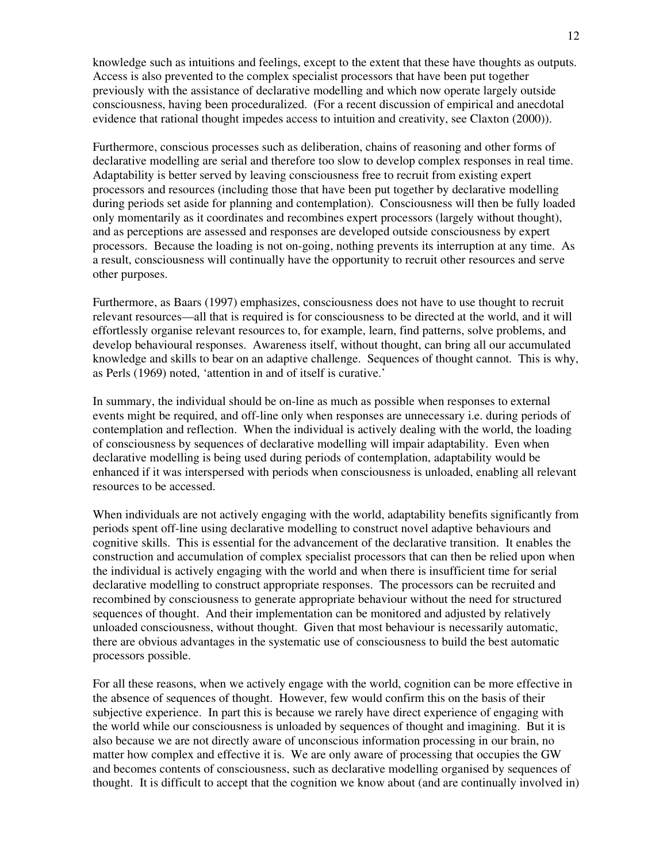knowledge such as intuitions and feelings, except to the extent that these have thoughts as outputs. Access is also prevented to the complex specialist processors that have been put together previously with the assistance of declarative modelling and which now operate largely outside consciousness, having been proceduralized. (For a recent discussion of empirical and anecdotal evidence that rational thought impedes access to intuition and creativity, see Claxton (2000)).

Furthermore, conscious processes such as deliberation, chains of reasoning and other forms of declarative modelling are serial and therefore too slow to develop complex responses in real time. Adaptability is better served by leaving consciousness free to recruit from existing expert processors and resources (including those that have been put together by declarative modelling during periods set aside for planning and contemplation). Consciousness will then be fully loaded only momentarily as it coordinates and recombines expert processors (largely without thought), and as perceptions are assessed and responses are developed outside consciousness by expert processors. Because the loading is not on-going, nothing prevents its interruption at any time. As a result, consciousness will continually have the opportunity to recruit other resources and serve other purposes.

Furthermore, as Baars (1997) emphasizes, consciousness does not have to use thought to recruit relevant resources—all that is required is for consciousness to be directed at the world, and it will effortlessly organise relevant resources to, for example, learn, find patterns, solve problems, and develop behavioural responses. Awareness itself, without thought, can bring all our accumulated knowledge and skills to bear on an adaptive challenge. Sequences of thought cannot. This is why, as Perls (1969) noted, 'attention in and of itself is curative.'

In summary, the individual should be on-line as much as possible when responses to external events might be required, and off-line only when responses are unnecessary i.e. during periods of contemplation and reflection. When the individual is actively dealing with the world, the loading of consciousness by sequences of declarative modelling will impair adaptability. Even when declarative modelling is being used during periods of contemplation, adaptability would be enhanced if it was interspersed with periods when consciousness is unloaded, enabling all relevant resources to be accessed.

When individuals are not actively engaging with the world, adaptability benefits significantly from periods spent off-line using declarative modelling to construct novel adaptive behaviours and cognitive skills. This is essential for the advancement of the declarative transition. It enables the construction and accumulation of complex specialist processors that can then be relied upon when the individual is actively engaging with the world and when there is insufficient time for serial declarative modelling to construct appropriate responses. The processors can be recruited and recombined by consciousness to generate appropriate behaviour without the need for structured sequences of thought. And their implementation can be monitored and adjusted by relatively unloaded consciousness, without thought. Given that most behaviour is necessarily automatic, there are obvious advantages in the systematic use of consciousness to build the best automatic processors possible.

For all these reasons, when we actively engage with the world, cognition can be more effective in the absence of sequences of thought. However, few would confirm this on the basis of their subjective experience. In part this is because we rarely have direct experience of engaging with the world while our consciousness is unloaded by sequences of thought and imagining. But it is also because we are not directly aware of unconscious information processing in our brain, no matter how complex and effective it is. We are only aware of processing that occupies the GW and becomes contents of consciousness, such as declarative modelling organised by sequences of thought. It is difficult to accept that the cognition we know about (and are continually involved in)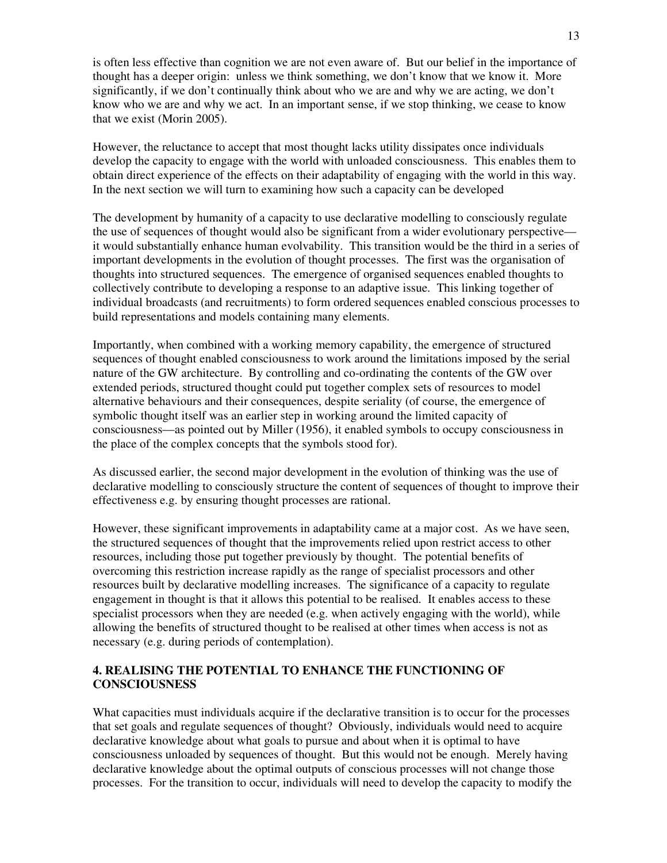is often less effective than cognition we are not even aware of. But our belief in the importance of thought has a deeper origin: unless we think something, we don't know that we know it. More significantly, if we don't continually think about who we are and why we are acting, we don't know who we are and why we act. In an important sense, if we stop thinking, we cease to know that we exist (Morin 2005).

However, the reluctance to accept that most thought lacks utility dissipates once individuals develop the capacity to engage with the world with unloaded consciousness. This enables them to obtain direct experience of the effects on their adaptability of engaging with the world in this way. In the next section we will turn to examining how such a capacity can be developed

The development by humanity of a capacity to use declarative modelling to consciously regulate the use of sequences of thought would also be significant from a wider evolutionary perspective it would substantially enhance human evolvability. This transition would be the third in a series of important developments in the evolution of thought processes. The first was the organisation of thoughts into structured sequences. The emergence of organised sequences enabled thoughts to collectively contribute to developing a response to an adaptive issue. This linking together of individual broadcasts (and recruitments) to form ordered sequences enabled conscious processes to build representations and models containing many elements.

Importantly, when combined with a working memory capability, the emergence of structured sequences of thought enabled consciousness to work around the limitations imposed by the serial nature of the GW architecture. By controlling and co-ordinating the contents of the GW over extended periods, structured thought could put together complex sets of resources to model alternative behaviours and their consequences, despite seriality (of course, the emergence of symbolic thought itself was an earlier step in working around the limited capacity of consciousness—as pointed out by Miller (1956), it enabled symbols to occupy consciousness in the place of the complex concepts that the symbols stood for).

As discussed earlier, the second major development in the evolution of thinking was the use of declarative modelling to consciously structure the content of sequences of thought to improve their effectiveness e.g. by ensuring thought processes are rational.

However, these significant improvements in adaptability came at a major cost. As we have seen, the structured sequences of thought that the improvements relied upon restrict access to other resources, including those put together previously by thought. The potential benefits of overcoming this restriction increase rapidly as the range of specialist processors and other resources built by declarative modelling increases. The significance of a capacity to regulate engagement in thought is that it allows this potential to be realised. It enables access to these specialist processors when they are needed (e.g. when actively engaging with the world), while allowing the benefits of structured thought to be realised at other times when access is not as necessary (e.g. during periods of contemplation).

# **4. REALISING THE POTENTIAL TO ENHANCE THE FUNCTIONING OF CONSCIOUSNESS**

What capacities must individuals acquire if the declarative transition is to occur for the processes that set goals and regulate sequences of thought? Obviously, individuals would need to acquire declarative knowledge about what goals to pursue and about when it is optimal to have consciousness unloaded by sequences of thought. But this would not be enough. Merely having declarative knowledge about the optimal outputs of conscious processes will not change those processes. For the transition to occur, individuals will need to develop the capacity to modify the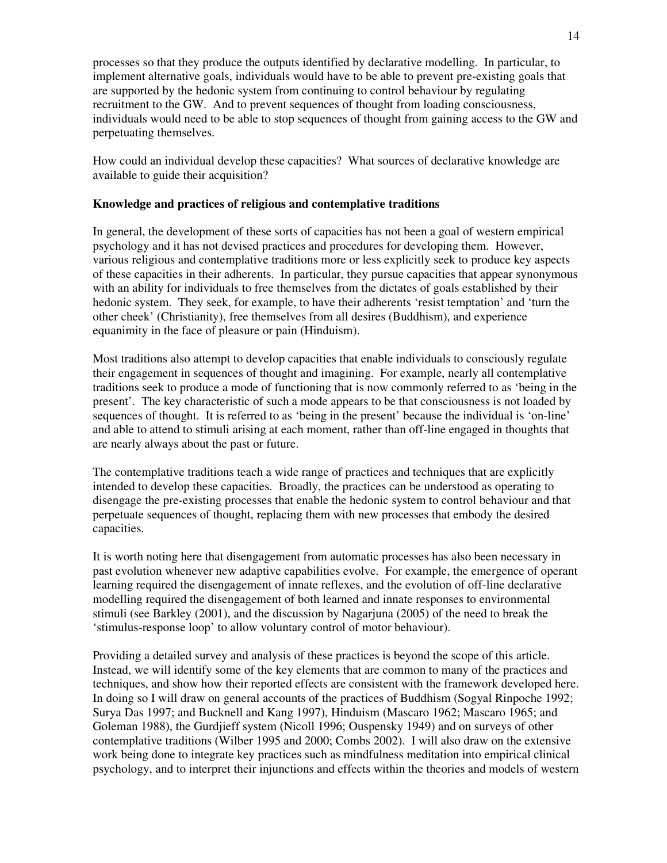processes so that they produce the outputs identified by declarative modelling. In particular, to implement alternative goals, individuals would have to be able to prevent pre-existing goals that are supported by the hedonic system from continuing to control behaviour by regulating recruitment to the GW. And to prevent sequences of thought from loading consciousness, individuals would need to be able to stop sequences of thought from gaining access to the GW and perpetuating themselves.

How could an individual develop these capacities? What sources of declarative knowledge are available to guide their acquisition?

# **Knowledge and practices of religious and contemplative traditions**

In general, the development of these sorts of capacities has not been a goal of western empirical psychology and it has not devised practices and procedures for developing them. However, various religious and contemplative traditions more or less explicitly seek to produce key aspects of these capacities in their adherents. In particular, they pursue capacities that appear synonymous with an ability for individuals to free themselves from the dictates of goals established by their hedonic system. They seek, for example, to have their adherents 'resist temptation' and 'turn the other cheek' (Christianity), free themselves from all desires (Buddhism), and experience equanimity in the face of pleasure or pain (Hinduism).

Most traditions also attempt to develop capacities that enable individuals to consciously regulate their engagement in sequences of thought and imagining. For example, nearly all contemplative traditions seek to produce a mode of functioning that is now commonly referred to as 'being in the present'. The key characteristic of such a mode appears to be that consciousness is not loaded by sequences of thought. It is referred to as 'being in the present' because the individual is 'on-line' and able to attend to stimuli arising at each moment, rather than off-line engaged in thoughts that are nearly always about the past or future.

The contemplative traditions teach a wide range of practices and techniques that are explicitly intended to develop these capacities. Broadly, the practices can be understood as operating to disengage the pre-existing processes that enable the hedonic system to control behaviour and that perpetuate sequences of thought, replacing them with new processes that embody the desired capacities.

It is worth noting here that disengagement from automatic processes has also been necessary in past evolution whenever new adaptive capabilities evolve. For example, the emergence of operant learning required the disengagement of innate reflexes, and the evolution of off-line declarative modelling required the disengagement of both learned and innate responses to environmental stimuli (see Barkley (2001), and the discussion by Nagarjuna (2005) of the need to break the 'stimulus-response loop' to allow voluntary control of motor behaviour).

Providing a detailed survey and analysis of these practices is beyond the scope of this article. Instead, we will identify some of the key elements that are common to many of the practices and techniques, and show how their reported effects are consistent with the framework developed here. In doing so I will draw on general accounts of the practices of Buddhism (Sogyal Rinpoche 1992; Surya Das 1997; and Bucknell and Kang 1997), Hinduism (Mascaro 1962; Mascaro 1965; and Goleman 1988), the Gurdjieff system (Nicoll 1996; Ouspensky 1949) and on surveys of other contemplative traditions (Wilber 1995 and 2000; Combs 2002). I will also draw on the extensive work being done to integrate key practices such as mindfulness meditation into empirical clinical psychology, and to interpret their injunctions and effects within the theories and models of western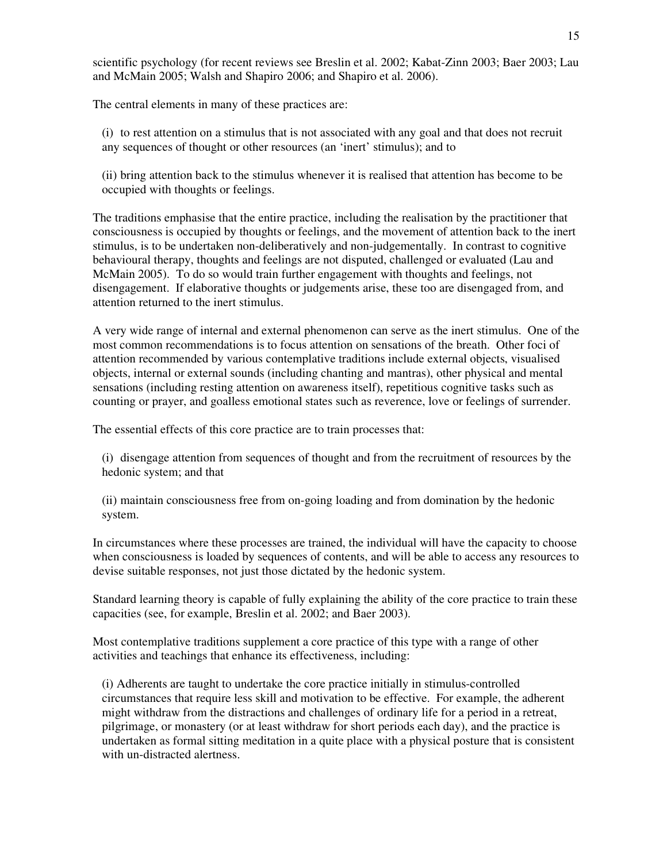scientific psychology (for recent reviews see Breslin et al. 2002; Kabat-Zinn 2003; Baer 2003; Lau and McMain 2005; Walsh and Shapiro 2006; and Shapiro et al. 2006).

The central elements in many of these practices are:

(i) to rest attention on a stimulus that is not associated with any goal and that does not recruit any sequences of thought or other resources (an 'inert' stimulus); and to

(ii) bring attention back to the stimulus whenever it is realised that attention has become to be occupied with thoughts or feelings.

The traditions emphasise that the entire practice, including the realisation by the practitioner that consciousness is occupied by thoughts or feelings, and the movement of attention back to the inert stimulus, is to be undertaken non-deliberatively and non-judgementally. In contrast to cognitive behavioural therapy, thoughts and feelings are not disputed, challenged or evaluated (Lau and McMain 2005). To do so would train further engagement with thoughts and feelings, not disengagement. If elaborative thoughts or judgements arise, these too are disengaged from, and attention returned to the inert stimulus.

A very wide range of internal and external phenomenon can serve as the inert stimulus. One of the most common recommendations is to focus attention on sensations of the breath. Other foci of attention recommended by various contemplative traditions include external objects, visualised objects, internal or external sounds (including chanting and mantras), other physical and mental sensations (including resting attention on awareness itself), repetitious cognitive tasks such as counting or prayer, and goalless emotional states such as reverence, love or feelings of surrender.

The essential effects of this core practice are to train processes that:

(i) disengage attention from sequences of thought and from the recruitment of resources by the hedonic system; and that

(ii) maintain consciousness free from on-going loading and from domination by the hedonic system.

In circumstances where these processes are trained, the individual will have the capacity to choose when consciousness is loaded by sequences of contents, and will be able to access any resources to devise suitable responses, not just those dictated by the hedonic system.

Standard learning theory is capable of fully explaining the ability of the core practice to train these capacities (see, for example, Breslin et al. 2002; and Baer 2003).

Most contemplative traditions supplement a core practice of this type with a range of other activities and teachings that enhance its effectiveness, including:

(i) Adherents are taught to undertake the core practice initially in stimulus-controlled circumstances that require less skill and motivation to be effective. For example, the adherent might withdraw from the distractions and challenges of ordinary life for a period in a retreat, pilgrimage, or monastery (or at least withdraw for short periods each day), and the practice is undertaken as formal sitting meditation in a quite place with a physical posture that is consistent with un-distracted alertness.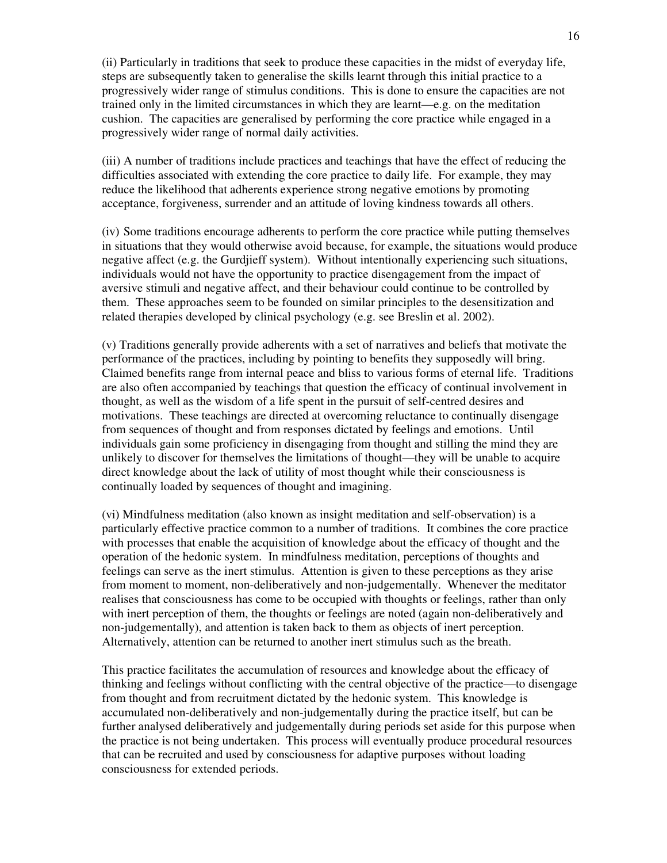(ii) Particularly in traditions that seek to produce these capacities in the midst of everyday life, steps are subsequently taken to generalise the skills learnt through this initial practice to a progressively wider range of stimulus conditions. This is done to ensure the capacities are not trained only in the limited circumstances in which they are learnt—e.g. on the meditation cushion. The capacities are generalised by performing the core practice while engaged in a progressively wider range of normal daily activities.

(iii) A number of traditions include practices and teachings that have the effect of reducing the difficulties associated with extending the core practice to daily life. For example, they may reduce the likelihood that adherents experience strong negative emotions by promoting acceptance, forgiveness, surrender and an attitude of loving kindness towards all others.

(iv) Some traditions encourage adherents to perform the core practice while putting themselves in situations that they would otherwise avoid because, for example, the situations would produce negative affect (e.g. the Gurdjieff system). Without intentionally experiencing such situations, individuals would not have the opportunity to practice disengagement from the impact of aversive stimuli and negative affect, and their behaviour could continue to be controlled by them. These approaches seem to be founded on similar principles to the desensitization and related therapies developed by clinical psychology (e.g. see Breslin et al. 2002).

(v) Traditions generally provide adherents with a set of narratives and beliefs that motivate the performance of the practices, including by pointing to benefits they supposedly will bring. Claimed benefits range from internal peace and bliss to various forms of eternal life. Traditions are also often accompanied by teachings that question the efficacy of continual involvement in thought, as well as the wisdom of a life spent in the pursuit of self-centred desires and motivations. These teachings are directed at overcoming reluctance to continually disengage from sequences of thought and from responses dictated by feelings and emotions. Until individuals gain some proficiency in disengaging from thought and stilling the mind they are unlikely to discover for themselves the limitations of thought—they will be unable to acquire direct knowledge about the lack of utility of most thought while their consciousness is continually loaded by sequences of thought and imagining.

(vi) Mindfulness meditation (also known as insight meditation and self-observation) is a particularly effective practice common to a number of traditions. It combines the core practice with processes that enable the acquisition of knowledge about the efficacy of thought and the operation of the hedonic system. In mindfulness meditation, perceptions of thoughts and feelings can serve as the inert stimulus. Attention is given to these perceptions as they arise from moment to moment, non-deliberatively and non-judgementally. Whenever the meditator realises that consciousness has come to be occupied with thoughts or feelings, rather than only with inert perception of them, the thoughts or feelings are noted (again non-deliberatively and non-judgementally), and attention is taken back to them as objects of inert perception. Alternatively, attention can be returned to another inert stimulus such as the breath.

This practice facilitates the accumulation of resources and knowledge about the efficacy of thinking and feelings without conflicting with the central objective of the practice—to disengage from thought and from recruitment dictated by the hedonic system. This knowledge is accumulated non-deliberatively and non-judgementally during the practice itself, but can be further analysed deliberatively and judgementally during periods set aside for this purpose when the practice is not being undertaken. This process will eventually produce procedural resources that can be recruited and used by consciousness for adaptive purposes without loading consciousness for extended periods.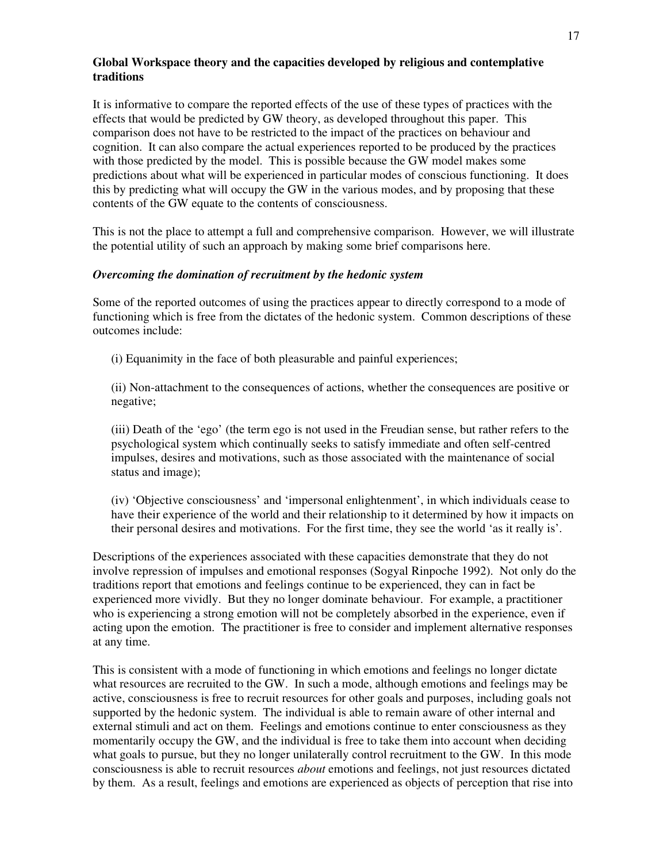# **Global Workspace theory and the capacities developed by religious and contemplative traditions**

It is informative to compare the reported effects of the use of these types of practices with the effects that would be predicted by GW theory, as developed throughout this paper. This comparison does not have to be restricted to the impact of the practices on behaviour and cognition. It can also compare the actual experiences reported to be produced by the practices with those predicted by the model. This is possible because the GW model makes some predictions about what will be experienced in particular modes of conscious functioning. It does this by predicting what will occupy the GW in the various modes, and by proposing that these contents of the GW equate to the contents of consciousness.

This is not the place to attempt a full and comprehensive comparison. However, we will illustrate the potential utility of such an approach by making some brief comparisons here.

#### *Overcoming the domination of recruitment by the hedonic system*

Some of the reported outcomes of using the practices appear to directly correspond to a mode of functioning which is free from the dictates of the hedonic system. Common descriptions of these outcomes include:

(i) Equanimity in the face of both pleasurable and painful experiences;

(ii) Non-attachment to the consequences of actions, whether the consequences are positive or negative;

(iii) Death of the 'ego' (the term ego is not used in the Freudian sense, but rather refers to the psychological system which continually seeks to satisfy immediate and often self-centred impulses, desires and motivations, such as those associated with the maintenance of social status and image);

(iv) 'Objective consciousness' and 'impersonal enlightenment', in which individuals cease to have their experience of the world and their relationship to it determined by how it impacts on their personal desires and motivations. For the first time, they see the world 'as it really is'.

Descriptions of the experiences associated with these capacities demonstrate that they do not involve repression of impulses and emotional responses (Sogyal Rinpoche 1992). Not only do the traditions report that emotions and feelings continue to be experienced, they can in fact be experienced more vividly. But they no longer dominate behaviour. For example, a practitioner who is experiencing a strong emotion will not be completely absorbed in the experience, even if acting upon the emotion. The practitioner is free to consider and implement alternative responses at any time.

This is consistent with a mode of functioning in which emotions and feelings no longer dictate what resources are recruited to the GW. In such a mode, although emotions and feelings may be active, consciousness is free to recruit resources for other goals and purposes, including goals not supported by the hedonic system. The individual is able to remain aware of other internal and external stimuli and act on them. Feelings and emotions continue to enter consciousness as they momentarily occupy the GW, and the individual is free to take them into account when deciding what goals to pursue, but they no longer unilaterally control recruitment to the GW. In this mode consciousness is able to recruit resources *about* emotions and feelings, not just resources dictated by them. As a result, feelings and emotions are experienced as objects of perception that rise into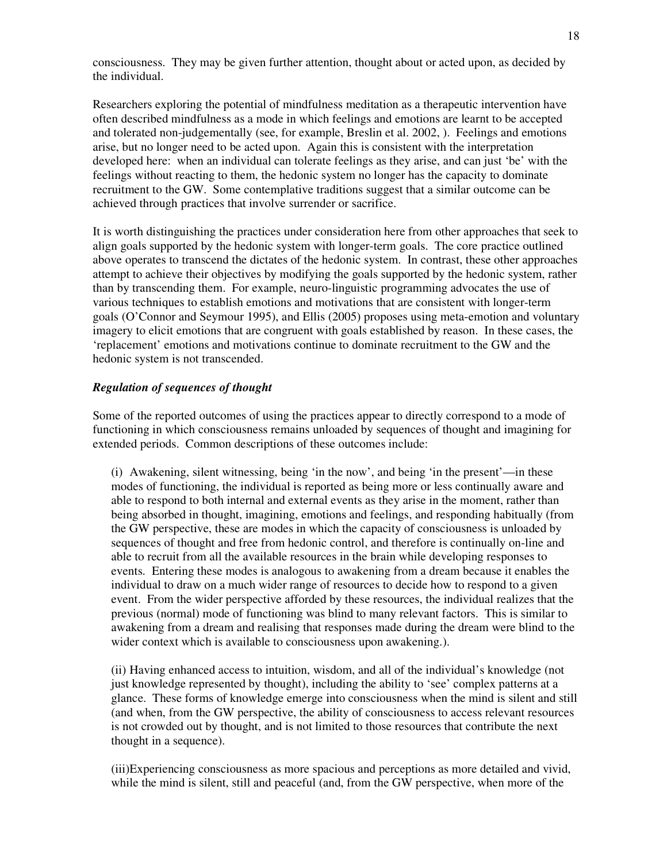consciousness. They may be given further attention, thought about or acted upon, as decided by the individual.

Researchers exploring the potential of mindfulness meditation as a therapeutic intervention have often described mindfulness as a mode in which feelings and emotions are learnt to be accepted and tolerated non-judgementally (see, for example, Breslin et al. 2002, ). Feelings and emotions arise, but no longer need to be acted upon. Again this is consistent with the interpretation developed here: when an individual can tolerate feelings as they arise, and can just 'be' with the feelings without reacting to them, the hedonic system no longer has the capacity to dominate recruitment to the GW. Some contemplative traditions suggest that a similar outcome can be achieved through practices that involve surrender or sacrifice.

It is worth distinguishing the practices under consideration here from other approaches that seek to align goals supported by the hedonic system with longer-term goals. The core practice outlined above operates to transcend the dictates of the hedonic system. In contrast, these other approaches attempt to achieve their objectives by modifying the goals supported by the hedonic system, rather than by transcending them. For example, neuro-linguistic programming advocates the use of various techniques to establish emotions and motivations that are consistent with longer-term goals (O'Connor and Seymour 1995), and Ellis (2005) proposes using meta-emotion and voluntary imagery to elicit emotions that are congruent with goals established by reason. In these cases, the 'replacement' emotions and motivations continue to dominate recruitment to the GW and the hedonic system is not transcended.

#### *Regulation of sequences of thought*

Some of the reported outcomes of using the practices appear to directly correspond to a mode of functioning in which consciousness remains unloaded by sequences of thought and imagining for extended periods. Common descriptions of these outcomes include:

(i) Awakening, silent witnessing, being 'in the now', and being 'in the present'—in these modes of functioning, the individual is reported as being more or less continually aware and able to respond to both internal and external events as they arise in the moment, rather than being absorbed in thought, imagining, emotions and feelings, and responding habitually (from the GW perspective, these are modes in which the capacity of consciousness is unloaded by sequences of thought and free from hedonic control, and therefore is continually on-line and able to recruit from all the available resources in the brain while developing responses to events. Entering these modes is analogous to awakening from a dream because it enables the individual to draw on a much wider range of resources to decide how to respond to a given event. From the wider perspective afforded by these resources, the individual realizes that the previous (normal) mode of functioning was blind to many relevant factors. This is similar to awakening from a dream and realising that responses made during the dream were blind to the wider context which is available to consciousness upon awakening.).

(ii) Having enhanced access to intuition, wisdom, and all of the individual's knowledge (not just knowledge represented by thought), including the ability to 'see' complex patterns at a glance. These forms of knowledge emerge into consciousness when the mind is silent and still (and when, from the GW perspective, the ability of consciousness to access relevant resources is not crowded out by thought, and is not limited to those resources that contribute the next thought in a sequence).

(iii)Experiencing consciousness as more spacious and perceptions as more detailed and vivid, while the mind is silent, still and peaceful (and, from the GW perspective, when more of the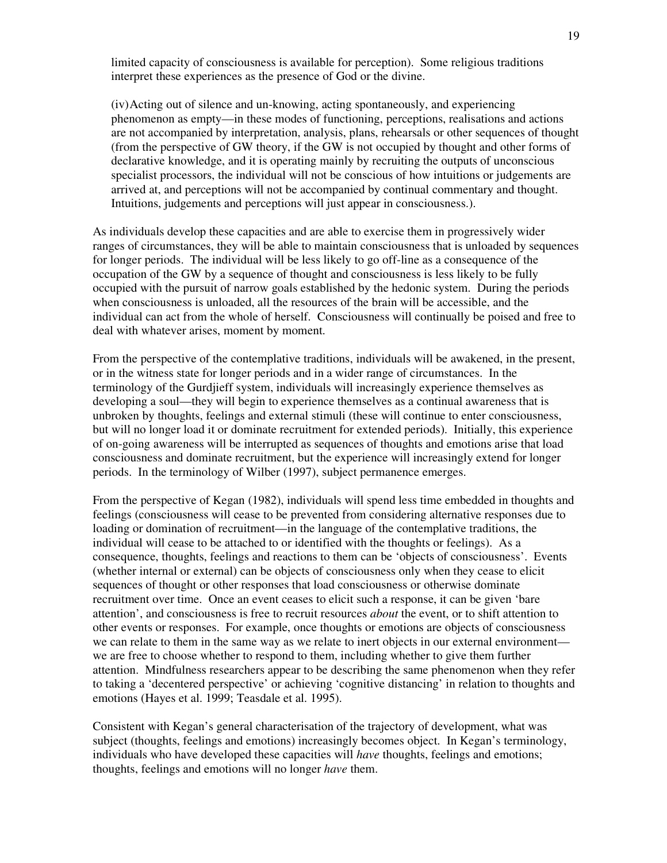limited capacity of consciousness is available for perception). Some religious traditions interpret these experiences as the presence of God or the divine.

(iv) Acting out of silence and un-knowing, acting spontaneously, and experiencing phenomenon as empty—in these modes of functioning, perceptions, realisations and actions are not accompanied by interpretation, analysis, plans, rehearsals or other sequences of thought (from the perspective of GW theory, if the GW is not occupied by thought and other forms of declarative knowledge, and it is operating mainly by recruiting the outputs of unconscious specialist processors, the individual will not be conscious of how intuitions or judgements are arrived at, and perceptions will not be accompanied by continual commentary and thought. Intuitions, judgements and perceptions will just appear in consciousness.).

As individuals develop these capacities and are able to exercise them in progressively wider ranges of circumstances, they will be able to maintain consciousness that is unloaded by sequences for longer periods. The individual will be less likely to go off-line as a consequence of the occupation of the GW by a sequence of thought and consciousness is less likely to be fully occupied with the pursuit of narrow goals established by the hedonic system. During the periods when consciousness is unloaded, all the resources of the brain will be accessible, and the individual can act from the whole of herself. Consciousness will continually be poised and free to deal with whatever arises, moment by moment.

From the perspective of the contemplative traditions, individuals will be awakened, in the present, or in the witness state for longer periods and in a wider range of circumstances. In the terminology of the Gurdjieff system, individuals will increasingly experience themselves as developing a soul—they will begin to experience themselves as a continual awareness that is unbroken by thoughts, feelings and external stimuli (these will continue to enter consciousness, but will no longer load it or dominate recruitment for extended periods). Initially, this experience of on-going awareness will be interrupted as sequences of thoughts and emotions arise that load consciousness and dominate recruitment, but the experience will increasingly extend for longer periods. In the terminology of Wilber (1997), subject permanence emerges.

From the perspective of Kegan (1982), individuals will spend less time embedded in thoughts and feelings (consciousness will cease to be prevented from considering alternative responses due to loading or domination of recruitment—in the language of the contemplative traditions, the individual will cease to be attached to or identified with the thoughts or feelings). As a consequence, thoughts, feelings and reactions to them can be 'objects of consciousness'. Events (whether internal or external) can be objects of consciousness only when they cease to elicit sequences of thought or other responses that load consciousness or otherwise dominate recruitment over time. Once an event ceases to elicit such a response, it can be given 'bare attention', and consciousness is free to recruit resources *about* the event, or to shift attention to other events or responses. For example, once thoughts or emotions are objects of consciousness we can relate to them in the same way as we relate to inert objects in our external environment we are free to choose whether to respond to them, including whether to give them further attention. Mindfulness researchers appear to be describing the same phenomenon when they refer to taking a 'decentered perspective' or achieving 'cognitive distancing' in relation to thoughts and emotions (Hayes et al. 1999; Teasdale et al. 1995).

Consistent with Kegan's general characterisation of the trajectory of development, what was subject (thoughts, feelings and emotions) increasingly becomes object. In Kegan's terminology, individuals who have developed these capacities will *have* thoughts, feelings and emotions; thoughts, feelings and emotions will no longer *have* them.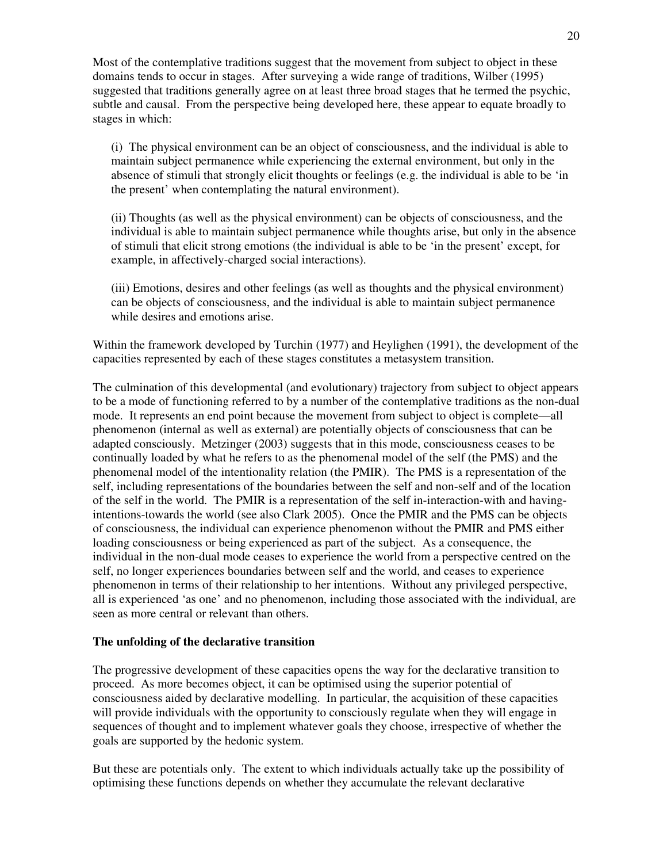Most of the contemplative traditions suggest that the movement from subject to object in these domains tends to occur in stages. After surveying a wide range of traditions, Wilber (1995) suggested that traditions generally agree on at least three broad stages that he termed the psychic, subtle and causal. From the perspective being developed here, these appear to equate broadly to stages in which:

(i) The physical environment can be an object of consciousness, and the individual is able to maintain subject permanence while experiencing the external environment, but only in the absence of stimuli that strongly elicit thoughts or feelings (e.g. the individual is able to be 'in the present' when contemplating the natural environment).

(ii) Thoughts (as well as the physical environment) can be objects of consciousness, and the individual is able to maintain subject permanence while thoughts arise, but only in the absence of stimuli that elicit strong emotions (the individual is able to be 'in the present' except, for example, in affectively-charged social interactions).

(iii) Emotions, desires and other feelings (as well as thoughts and the physical environment) can be objects of consciousness, and the individual is able to maintain subject permanence while desires and emotions arise.

Within the framework developed by Turchin (1977) and Heylighen (1991), the development of the capacities represented by each of these stages constitutes a metasystem transition.

The culmination of this developmental (and evolutionary) trajectory from subject to object appears to be a mode of functioning referred to by a number of the contemplative traditions as the non-dual mode. It represents an end point because the movement from subject to object is complete—all phenomenon (internal as well as external) are potentially objects of consciousness that can be adapted consciously. Metzinger (2003) suggests that in this mode, consciousness ceases to be continually loaded by what he refers to as the phenomenal model of the self (the PMS) and the phenomenal model of the intentionality relation (the PMIR). The PMS is a representation of the self, including representations of the boundaries between the self and non-self and of the location of the self in the world. The PMIR is a representation of the self in-interaction-with and havingintentions-towards the world (see also Clark 2005). Once the PMIR and the PMS can be objects of consciousness, the individual can experience phenomenon without the PMIR and PMS either loading consciousness or being experienced as part of the subject. As a consequence, the individual in the non-dual mode ceases to experience the world from a perspective centred on the self, no longer experiences boundaries between self and the world, and ceases to experience phenomenon in terms of their relationship to her intentions. Without any privileged perspective, all is experienced 'as one' and no phenomenon, including those associated with the individual, are seen as more central or relevant than others.

#### **The unfolding of the declarative transition**

The progressive development of these capacities opens the way for the declarative transition to proceed. As more becomes object, it can be optimised using the superior potential of consciousness aided by declarative modelling. In particular, the acquisition of these capacities will provide individuals with the opportunity to consciously regulate when they will engage in sequences of thought and to implement whatever goals they choose, irrespective of whether the goals are supported by the hedonic system.

But these are potentials only. The extent to which individuals actually take up the possibility of optimising these functions depends on whether they accumulate the relevant declarative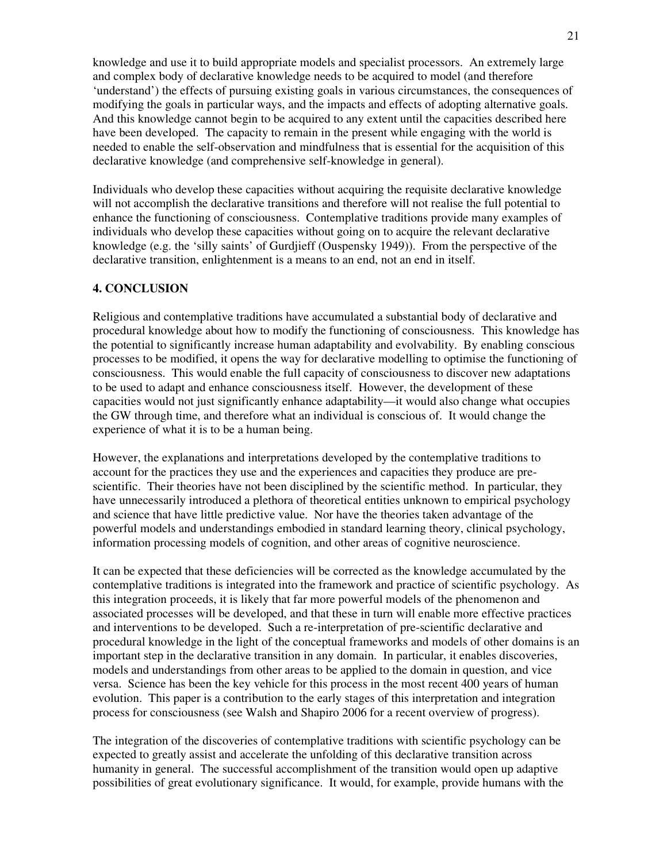knowledge and use it to build appropriate models and specialist processors. An extremely large and complex body of declarative knowledge needs to be acquired to model (and therefore 'understand') the effects of pursuing existing goals in various circumstances, the consequences of modifying the goals in particular ways, and the impacts and effects of adopting alternative goals. And this knowledge cannot begin to be acquired to any extent until the capacities described here have been developed. The capacity to remain in the present while engaging with the world is needed to enable the self-observation and mindfulness that is essential for the acquisition of this declarative knowledge (and comprehensive self-knowledge in general).

Individuals who develop these capacities without acquiring the requisite declarative knowledge will not accomplish the declarative transitions and therefore will not realise the full potential to enhance the functioning of consciousness. Contemplative traditions provide many examples of individuals who develop these capacities without going on to acquire the relevant declarative knowledge (e.g. the 'silly saints' of Gurdjieff (Ouspensky 1949)). From the perspective of the declarative transition, enlightenment is a means to an end, not an end in itself.

#### **4. CONCLUSION**

Religious and contemplative traditions have accumulated a substantial body of declarative and procedural knowledge about how to modify the functioning of consciousness. This knowledge has the potential to significantly increase human adaptability and evolvability. By enabling conscious processes to be modified, it opens the way for declarative modelling to optimise the functioning of consciousness. This would enable the full capacity of consciousness to discover new adaptations to be used to adapt and enhance consciousness itself. However, the development of these capacities would not just significantly enhance adaptability—it would also change what occupies the GW through time, and therefore what an individual is conscious of. It would change the experience of what it is to be a human being.

However, the explanations and interpretations developed by the contemplative traditions to account for the practices they use and the experiences and capacities they produce are prescientific. Their theories have not been disciplined by the scientific method. In particular, they have unnecessarily introduced a plethora of theoretical entities unknown to empirical psychology and science that have little predictive value. Nor have the theories taken advantage of the powerful models and understandings embodied in standard learning theory, clinical psychology, information processing models of cognition, and other areas of cognitive neuroscience.

It can be expected that these deficiencies will be corrected as the knowledge accumulated by the contemplative traditions is integrated into the framework and practice of scientific psychology. As this integration proceeds, it is likely that far more powerful models of the phenomenon and associated processes will be developed, and that these in turn will enable more effective practices and interventions to be developed. Such a re-interpretation of pre-scientific declarative and procedural knowledge in the light of the conceptual frameworks and models of other domains is an important step in the declarative transition in any domain. In particular, it enables discoveries, models and understandings from other areas to be applied to the domain in question, and vice versa. Science has been the key vehicle for this process in the most recent 400 years of human evolution. This paper is a contribution to the early stages of this interpretation and integration process for consciousness (see Walsh and Shapiro 2006 for a recent overview of progress).

The integration of the discoveries of contemplative traditions with scientific psychology can be expected to greatly assist and accelerate the unfolding of this declarative transition across humanity in general. The successful accomplishment of the transition would open up adaptive possibilities of great evolutionary significance. It would, for example, provide humans with the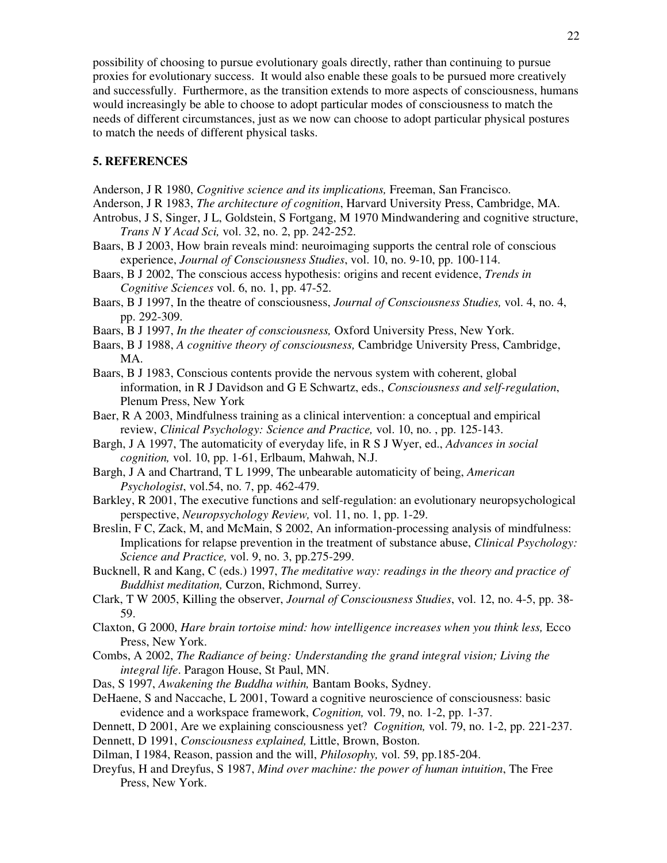possibility of choosing to pursue evolutionary goals directly, rather than continuing to pursue proxies for evolutionary success. It would also enable these goals to be pursued more creatively and successfully. Furthermore, as the transition extends to more aspects of consciousness, humans would increasingly be able to choose to adopt particular modes of consciousness to match the needs of different circumstances, just as we now can choose to adopt particular physical postures to match the needs of different physical tasks.

# **5. REFERENCES**

- Anderson, J R 1980, *Cognitive science and its implications,* Freeman, San Francisco.
- Anderson, J R 1983, *The architecture of cognition*, Harvard University Press, Cambridge, MA.
- Antrobus, J S, Singer, J L, Goldstein, S Fortgang, M 1970 Mindwandering and cognitive structure, *Trans N Y Acad Sci,* vol. 32, no. 2, pp. 242-252.
- Baars, B J 2003, How brain reveals mind: neuroimaging supports the central role of conscious experience, *Journal of Consciousness Studies*, vol. 10, no. 9-10, pp. 100-114.
- Baars, B J 2002, The conscious access hypothesis: origins and recent evidence, *Trends in Cognitive Sciences* vol. 6, no. 1, pp. 47-52.
- Baars, B J 1997, In the theatre of consciousness, *Journal of Consciousness Studies,* vol. 4, no. 4, pp. 292-309.
- Baars, B J 1997, *In the theater of consciousness,* Oxford University Press, New York.
- Baars, B J 1988, *A cognitive theory of consciousness,* Cambridge University Press, Cambridge, MA.
- Baars, B J 1983, Conscious contents provide the nervous system with coherent, global information, in R J Davidson and G E Schwartz, eds., *Consciousness and self-regulation*, Plenum Press, New York
- Baer, R A 2003, Mindfulness training as a clinical intervention: a conceptual and empirical review, *Clinical Psychology: Science and Practice,* vol. 10, no. , pp. 125-143.
- Bargh, J A 1997, The automaticity of everyday life, in R S J Wyer, ed., *Advances in social cognition,* vol. 10, pp. 1-61, Erlbaum, Mahwah, N.J.
- Bargh, J A and Chartrand, T L 1999, The unbearable automaticity of being, *American Psychologist*, vol.54, no. 7, pp. 462-479.
- Barkley, R 2001, The executive functions and self-regulation: an evolutionary neuropsychological perspective, *Neuropsychology Review,* vol. 11, no. 1, pp. 1-29.
- Breslin, F C, Zack, M, and McMain, S 2002, An information-processing analysis of mindfulness: Implications for relapse prevention in the treatment of substance abuse, *Clinical Psychology: Science and Practice,* vol. 9, no. 3, pp.275-299.
- Bucknell, R and Kang, C (eds.) 1997, *The meditative way: readings in the theory and practice of Buddhist meditation,* Curzon, Richmond, Surrey.
- Clark, T W 2005, Killing the observer, *Journal of Consciousness Studies*, vol. 12, no. 4-5, pp. 38- 59.
- Claxton, G 2000, *Hare brain tortoise mind: how intelligence increases when you think less,* Ecco Press, New York.
- Combs, A 2002, *The Radiance of being: Understanding the grand integral vision; Living the integral life*. Paragon House, St Paul, MN.
- Das, S 1997, *Awakening the Buddha within,* Bantam Books, Sydney.
- DeHaene, S and Naccache, L 2001, Toward a cognitive neuroscience of consciousness: basic evidence and a workspace framework, *Cognition,* vol. 79, no. 1-2, pp. 1-37.
- Dennett, D 2001, Are we explaining consciousness yet? *Cognition,* vol. 79, no. 1-2, pp. 221-237.
- Dennett, D 1991, *Consciousness explained,* Little, Brown, Boston.
- Dilman, I 1984, Reason, passion and the will, *Philosophy,* vol. 59, pp.185-204.
- Dreyfus, H and Dreyfus, S 1987, *Mind over machine: the power of human intuition*, The Free Press, New York.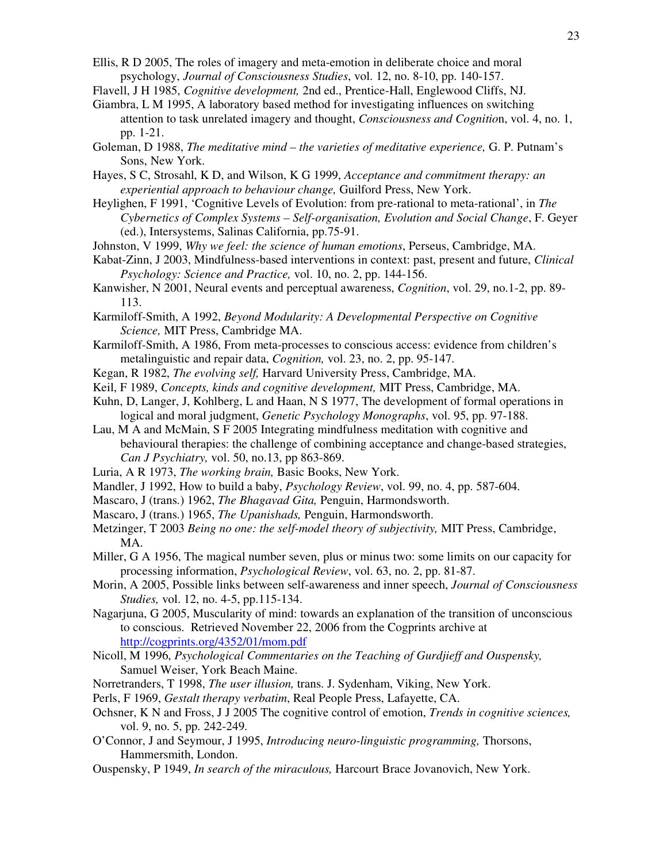- Ellis, R D 2005, The roles of imagery and meta-emotion in deliberate choice and moral psychology, *Journal of Consciousness Studies*, vol. 12, no. 8-10, pp. 140-157.
- Flavell, J H 1985, *Cognitive development,* 2nd ed., Prentice-Hall, Englewood Cliffs, NJ.
- Giambra, L M 1995, A laboratory based method for investigating influences on switching attention to task unrelated imagery and thought, *Consciousness and Cognitio*n, vol. 4, no. 1, pp. 1-21.
- Goleman, D 1988, *The meditative mind the varieties of meditative experience,* G. P. Putnam's Sons, New York.
- Hayes, S C, Strosahl, K D, and Wilson, K G 1999, *Acceptance and commitment therapy: an experiential approach to behaviour change,* Guilford Press, New York.
- Heylighen, F 1991, 'Cognitive Levels of Evolution: from pre-rational to meta-rational', in *The Cybernetics of Complex Systems – Self-organisation, Evolution and Social Change*, F. Geyer (ed.), Intersystems, Salinas California, pp.75-91.
- Johnston, V 1999, *Why we feel: the science of human emotions*, Perseus, Cambridge, MA.
- Kabat-Zinn, J 2003, Mindfulness-based interventions in context: past, present and future, *Clinical Psychology: Science and Practice,* vol. 10, no. 2, pp. 144-156.
- Kanwisher, N 2001, Neural events and perceptual awareness, *Cognition*, vol. 29, no.1-2, pp. 89- 113.
- Karmiloff-Smith, A 1992, *Beyond Modularity: A Developmental Perspective on Cognitive Science,* MIT Press, Cambridge MA.
- Karmiloff-Smith, A 1986, From meta-processes to conscious access: evidence from children's metalinguistic and repair data, *Cognition,* vol. 23, no. 2, pp. 95-147.
- Kegan, R 1982, *The evolving self,* Harvard University Press, Cambridge, MA.
- Keil, F 1989, *Concepts, kinds and cognitive development,* MIT Press, Cambridge, MA.
- Kuhn, D, Langer, J, Kohlberg, L and Haan, N S 1977, The development of formal operations in logical and moral judgment, *Genetic Psychology Monographs*, vol. 95, pp. 97-188.
- Lau, M A and McMain, S F 2005 Integrating mindfulness meditation with cognitive and behavioural therapies: the challenge of combining acceptance and change-based strategies, *Can J Psychiatry,* vol. 50, no.13, pp 863-869.
- Luria, A R 1973, *The working brain,* Basic Books, New York.
- Mandler, J 1992, How to build a baby, *Psychology Review*, vol. 99, no. 4, pp. 587-604.
- Mascaro, J (trans.) 1962, *The Bhagavad Gita,* Penguin, Harmondsworth.
- Mascaro, J (trans.) 1965, *The Upanishads,* Penguin, Harmondsworth.
- Metzinger, T 2003 *Being no one: the self-model theory of subjectivity,* MIT Press, Cambridge, MA.
- Miller, G A 1956, The magical number seven, plus or minus two: some limits on our capacity for processing information, *Psychological Review*, vol. 63, no. 2, pp. 81-87.
- Morin, A 2005, Possible links between self-awareness and inner speech, *Journal of Consciousness Studies,* vol. 12, no. 4-5, pp.115-134.
- Nagarjuna, G 2005, Muscularity of mind: towards an explanation of the transition of unconscious to conscious. Retrieved November 22, 2006 from the Cogprints archive at http://cogprints.org/4352/01/mom.pdf
- Nicoll, M 1996, *Psychological Commentaries on the Teaching of Gurdjieff and Ouspensky,*  Samuel Weiser, York Beach Maine.
- Norretranders, T 1998, *The user illusion,* trans. J. Sydenham, Viking, New York.
- Perls, F 1969, *Gestalt therapy verbatim*, Real People Press, Lafayette, CA.
- Ochsner, K N and Fross, J J 2005 The cognitive control of emotion, *Trends in cognitive sciences,*  vol. 9, no. 5, pp. 242-249.
- O'Connor, J and Seymour, J 1995, *Introducing neuro-linguistic programming,* Thorsons, Hammersmith, London.
- Ouspensky, P 1949, *In search of the miraculous,* Harcourt Brace Jovanovich, New York.